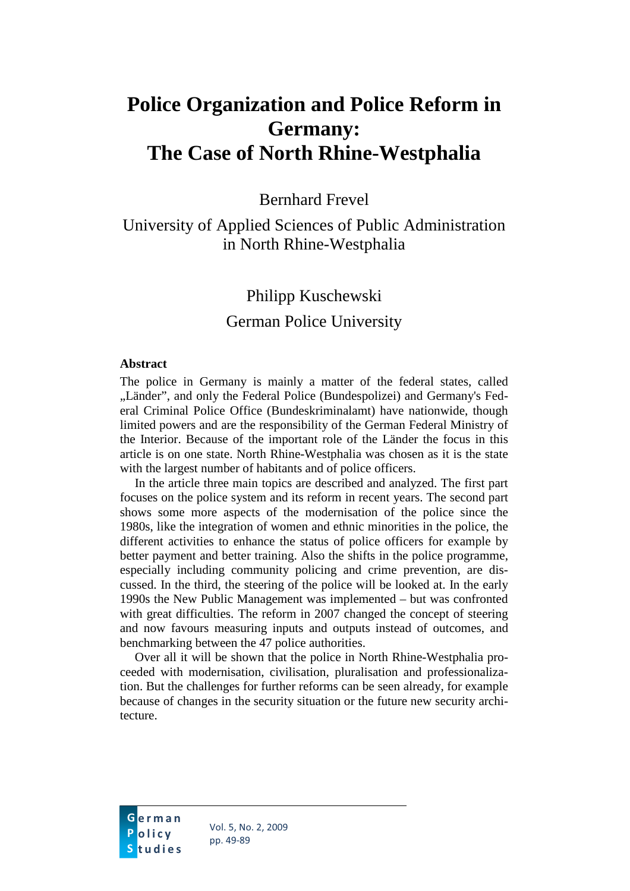# **Police Organization and Police Reform in Germany: The Case of North Rhine-Westphalia**

Bernhard Frevel

University of Applied Sciences of Public Administration in North Rhine-Westphalia

## Philipp Kuschewski German Police University

#### **Abstract**

The police in Germany is mainly a matter of the federal states, called "Länder", and only the Federal Police (Bundespolizei) and Germany's Federal Criminal Police Office (Bundeskriminalamt) have nationwide, though limited powers and are the responsibility of the German Federal Ministry of the Interior. Because of the important role of the Länder the focus in this article is on one state. North Rhine-Westphalia was chosen as it is the state with the largest number of habitants and of police officers.

In the article three main topics are described and analyzed. The first part focuses on the police system and its reform in recent years. The second part shows some more aspects of the modernisation of the police since the 1980s, like the integration of women and ethnic minorities in the police, the different activities to enhance the status of police officers for example by better payment and better training. Also the shifts in the police programme, especially including community policing and crime prevention, are discussed. In the third, the steering of the police will be looked at. In the early 1990s the New Public Management was implemented – but was confronted with great difficulties. The reform in 2007 changed the concept of steering and now favours measuring inputs and outputs instead of outcomes, and benchmarking between the 47 police authorities.

Over all it will be shown that the police in North Rhine-Westphalia proceeded with modernisation, civilisation, pluralisation and professionalization. But the challenges for further reforms can be seen already, for example because of changes in the security situation or the future new security architecture.

G<mark>erman</mark> <mark>P</mark>olicy <mark>S</mark>tudies

Vol. 5, No. 2, 2009 pp. 49-89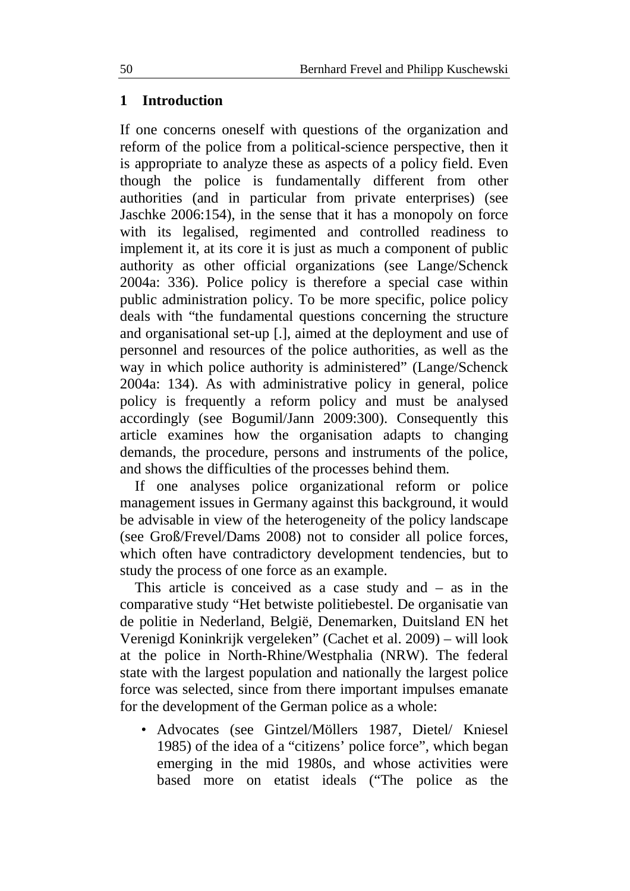## **1 Introduction**

If one concerns oneself with questions of the organization and reform of the police from a political-science perspective, then it is appropriate to analyze these as aspects of a policy field. Even though the police is fundamentally different from other authorities (and in particular from private enterprises) (see Jaschke 2006:154), in the sense that it has a monopoly on force with its legalised, regimented and controlled readiness to implement it, at its core it is just as much a component of public authority as other official organizations (see Lange/Schenck 2004a: 336). Police policy is therefore a special case within public administration policy. To be more specific, police policy deals with "the fundamental questions concerning the structure and organisational set-up [.], aimed at the deployment and use of personnel and resources of the police authorities, as well as the way in which police authority is administered" (Lange/Schenck 2004a: 134). As with administrative policy in general, police policy is frequently a reform policy and must be analysed accordingly (see Bogumil/Jann 2009:300). Consequently this article examines how the organisation adapts to changing demands, the procedure, persons and instruments of the police, and shows the difficulties of the processes behind them.

If one analyses police organizational reform or police management issues in Germany against this background, it would be advisable in view of the heterogeneity of the policy landscape (see Groß/Frevel/Dams 2008) not to consider all police forces, which often have contradictory development tendencies, but to study the process of one force as an example.

This article is conceived as a case study and – as in the comparative study "Het betwiste politiebestel. De organisatie van de politie in Nederland, België, Denemarken, Duitsland EN het Verenigd Koninkrijk vergeleken" (Cachet et al. 2009) – will look at the police in North-Rhine/Westphalia (NRW). The federal state with the largest population and nationally the largest police force was selected, since from there important impulses emanate for the development of the German police as a whole:

• Advocates (see Gintzel/Möllers 1987, Dietel/ Kniesel 1985) of the idea of a "citizens' police force", which began emerging in the mid 1980s, and whose activities were based more on etatist ideals ("The police as the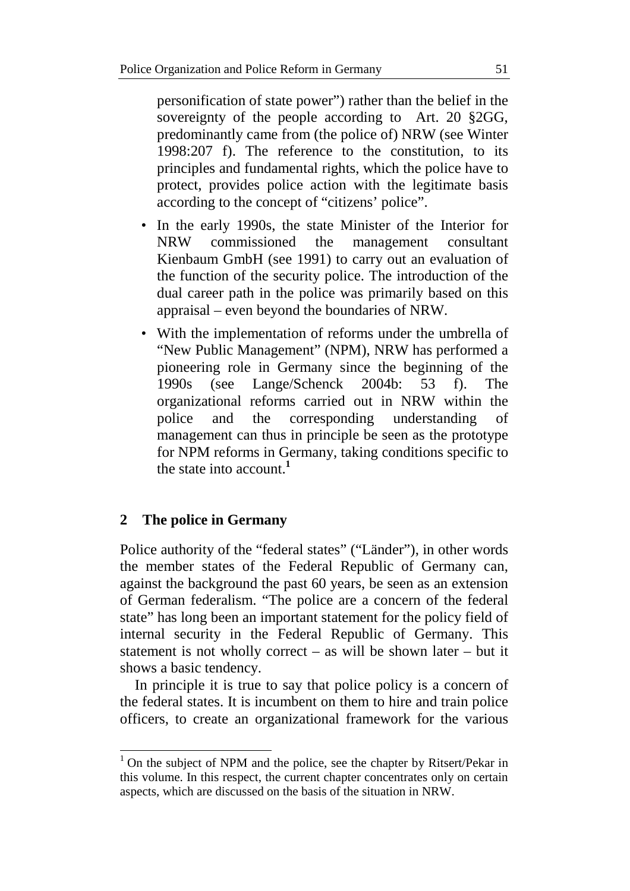personification of state power") rather than the belief in the sovereignty of the people according to Art. 20 §2GG, predominantly came from (the police of) NRW (see Winter 1998:207 f). The reference to the constitution, to its principles and fundamental rights, which the police have to protect, provides police action with the legitimate basis according to the concept of "citizens' police".

- In the early 1990s, the state Minister of the Interior for NRW commissioned the management consultant Kienbaum GmbH (see 1991) to carry out an evaluation of the function of the security police. The introduction of the dual career path in the police was primarily based on this appraisal – even beyond the boundaries of NRW.
- With the implementation of reforms under the umbrella of "New Public Management" (NPM), NRW has performed a pioneering role in Germany since the beginning of the 1990s (see Lange/Schenck 2004b: 53 f). The organizational reforms carried out in NRW within the police and the corresponding understanding of management can thus in principle be seen as the prototype for NPM reforms in Germany, taking conditions specific to the state into account.**<sup>1</sup>**

## **2 The police in Germany**

 $\overline{a}$ 

Police authority of the "federal states" ("Länder"), in other words the member states of the Federal Republic of Germany can, against the background the past 60 years, be seen as an extension of German federalism. "The police are a concern of the federal state" has long been an important statement for the policy field of internal security in the Federal Republic of Germany. This statement is not wholly correct – as will be shown later – but it shows a basic tendency.

In principle it is true to say that police policy is a concern of the federal states. It is incumbent on them to hire and train police officers, to create an organizational framework for the various

 $1$  On the subject of NPM and the police, see the chapter by Ritsert/Pekar in this volume. In this respect, the current chapter concentrates only on certain aspects, which are discussed on the basis of the situation in NRW.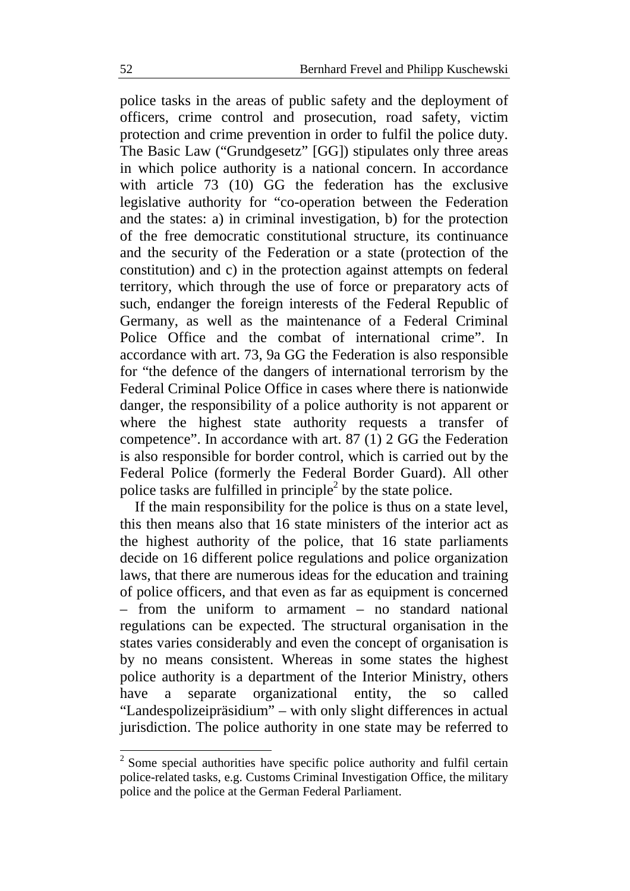police tasks in the areas of public safety and the deployment of officers, crime control and prosecution, road safety, victim protection and crime prevention in order to fulfil the police duty. The Basic Law ("Grundgesetz" [GG]) stipulates only three areas in which police authority is a national concern. In accordance with article 73 (10) GG the federation has the exclusive legislative authority for "co-operation between the Federation and the states: a) in criminal investigation, b) for the protection of the free democratic constitutional structure, its continuance and the security of the Federation or a state (protection of the constitution) and c) in the protection against attempts on federal territory, which through the use of force or preparatory acts of such, endanger the foreign interests of the Federal Republic of Germany, as well as the maintenance of a Federal Criminal Police Office and the combat of international crime". In accordance with art. 73, 9a GG the Federation is also responsible for "the defence of the dangers of international terrorism by the Federal Criminal Police Office in cases where there is nationwide danger, the responsibility of a police authority is not apparent or where the highest state authority requests a transfer of competence". In accordance with art. 87 (1) 2 GG the Federation is also responsible for border control, which is carried out by the Federal Police (formerly the Federal Border Guard). All other police tasks are fulfilled in principle<sup>2</sup> by the state police.

If the main responsibility for the police is thus on a state level, this then means also that 16 state ministers of the interior act as the highest authority of the police, that 16 state parliaments decide on 16 different police regulations and police organization laws, that there are numerous ideas for the education and training of police officers, and that even as far as equipment is concerned – from the uniform to armament – no standard national regulations can be expected. The structural organisation in the states varies considerably and even the concept of organisation is by no means consistent. Whereas in some states the highest police authority is a department of the Interior Ministry, others have a separate organizational entity, the so called "Landespolizeipräsidium" – with only slight differences in actual jurisdiction. The police authority in one state may be referred to

 $\overline{a}$ 

 $2^2$  Some special authorities have specific police authority and fulfil certain police-related tasks, e.g. Customs Criminal Investigation Office, the military police and the police at the German Federal Parliament.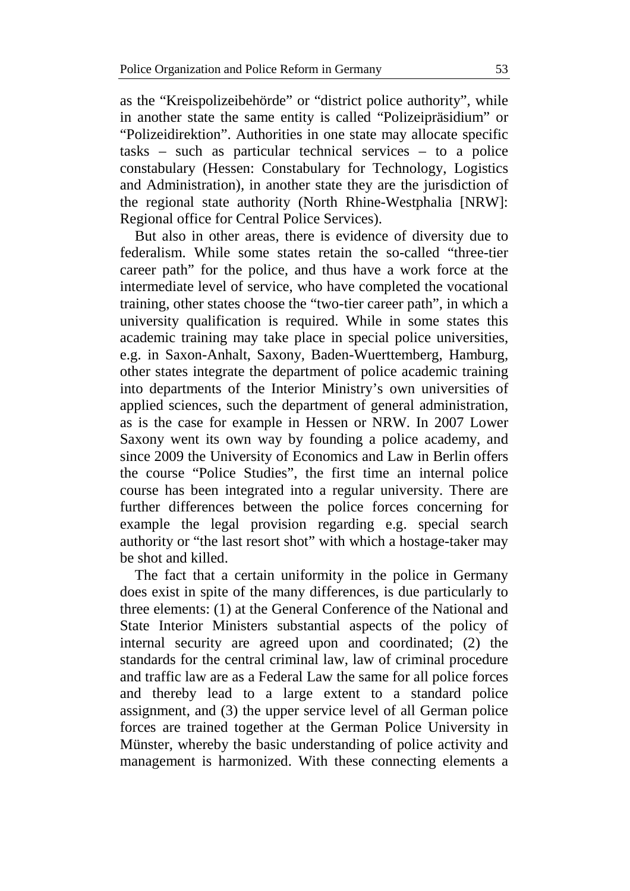as the "Kreispolizeibehörde" or "district police authority", while in another state the same entity is called "Polizeipräsidium" or "Polizeidirektion". Authorities in one state may allocate specific tasks – such as particular technical services – to a police constabulary (Hessen: Constabulary for Technology, Logistics and Administration), in another state they are the jurisdiction of the regional state authority (North Rhine-Westphalia [NRW]: Regional office for Central Police Services).

But also in other areas, there is evidence of diversity due to federalism. While some states retain the so-called "three-tier career path" for the police, and thus have a work force at the intermediate level of service, who have completed the vocational training, other states choose the "two-tier career path", in which a university qualification is required. While in some states this academic training may take place in special police universities, e.g. in Saxon-Anhalt, Saxony, Baden-Wuerttemberg, Hamburg, other states integrate the department of police academic training into departments of the Interior Ministry's own universities of applied sciences, such the department of general administration, as is the case for example in Hessen or NRW. In 2007 Lower Saxony went its own way by founding a police academy, and since 2009 the University of Economics and Law in Berlin offers the course "Police Studies", the first time an internal police course has been integrated into a regular university. There are further differences between the police forces concerning for example the legal provision regarding e.g. special search authority or "the last resort shot" with which a hostage-taker may be shot and killed.

The fact that a certain uniformity in the police in Germany does exist in spite of the many differences, is due particularly to three elements: (1) at the General Conference of the National and State Interior Ministers substantial aspects of the policy of internal security are agreed upon and coordinated; (2) the standards for the central criminal law, law of criminal procedure and traffic law are as a Federal Law the same for all police forces and thereby lead to a large extent to a standard police assignment, and (3) the upper service level of all German police forces are trained together at the German Police University in Münster, whereby the basic understanding of police activity and management is harmonized. With these connecting elements a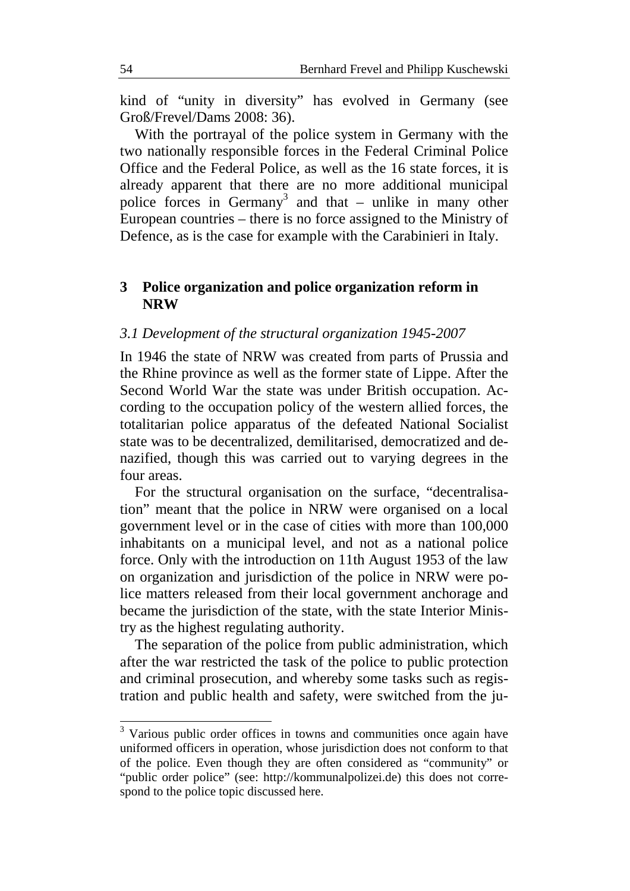kind of "unity in diversity" has evolved in Germany (see Groß/Frevel/Dams 2008: 36).

With the portrayal of the police system in Germany with the two nationally responsible forces in the Federal Criminal Police Office and the Federal Police, as well as the 16 state forces, it is already apparent that there are no more additional municipal police forces in Germany<sup>3</sup> and that  $-$  unlike in many other European countries – there is no force assigned to the Ministry of Defence, as is the case for example with the Carabinieri in Italy.

## **3 Police organization and police organization reform in NRW**

### *3.1 Development of the structural organization 1945-2007*

In 1946 the state of NRW was created from parts of Prussia and the Rhine province as well as the former state of Lippe. After the Second World War the state was under British occupation. According to the occupation policy of the western allied forces, the totalitarian police apparatus of the defeated National Socialist state was to be decentralized, demilitarised, democratized and denazified, though this was carried out to varying degrees in the four areas.

For the structural organisation on the surface, "decentralisation" meant that the police in NRW were organised on a local government level or in the case of cities with more than 100,000 inhabitants on a municipal level, and not as a national police force. Only with the introduction on 11th August 1953 of the law on organization and jurisdiction of the police in NRW were police matters released from their local government anchorage and became the jurisdiction of the state, with the state Interior Ministry as the highest regulating authority.

The separation of the police from public administration, which after the war restricted the task of the police to public protection and criminal prosecution, and whereby some tasks such as registration and public health and safety, were switched from the ju-

 $\overline{a}$ 

<sup>&</sup>lt;sup>3</sup> Various public order offices in towns and communities once again have uniformed officers in operation, whose jurisdiction does not conform to that of the police. Even though they are often considered as "community" or "public order police" (see: http://kommunalpolizei.de) this does not correspond to the police topic discussed here.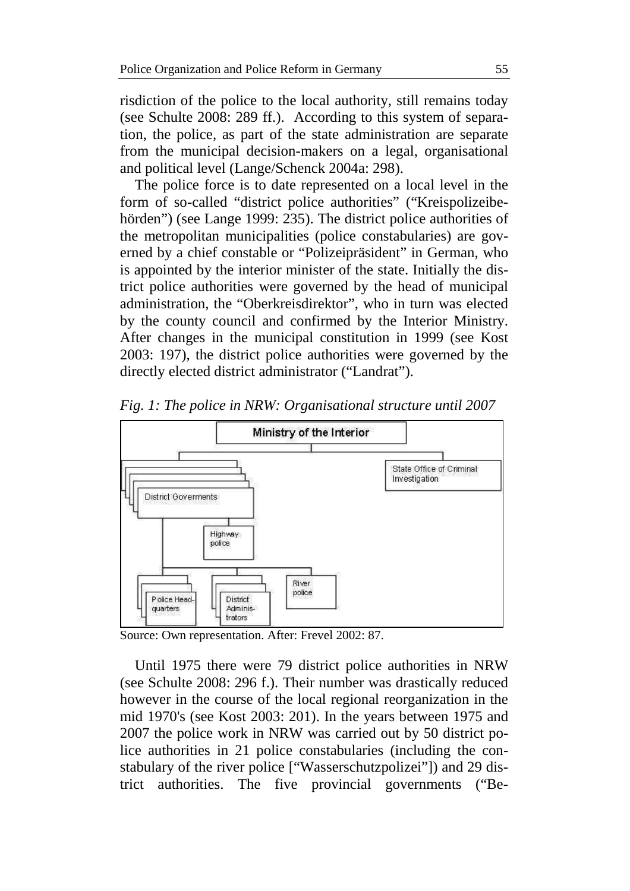risdiction of the police to the local authority, still remains today (see Schulte 2008: 289 ff.). According to this system of separation, the police, as part of the state administration are separate from the municipal decision-makers on a legal, organisational and political level (Lange/Schenck 2004a: 298).

The police force is to date represented on a local level in the form of so-called "district police authorities" ("Kreispolizeibehörden") (see Lange 1999: 235). The district police authorities of the metropolitan municipalities (police constabularies) are governed by a chief constable or "Polizeipräsident" in German, who is appointed by the interior minister of the state. Initially the district police authorities were governed by the head of municipal administration, the "Oberkreisdirektor", who in turn was elected by the county council and confirmed by the Interior Ministry. After changes in the municipal constitution in 1999 (see Kost 2003: 197), the district police authorities were governed by the directly elected district administrator ("Landrat").



*Fig. 1: The police in NRW: Organisational structure until 2007* 

Source: Own representation. After: Frevel 2002: 87.

Until 1975 there were 79 district police authorities in NRW (see Schulte 2008: 296 f.). Their number was drastically reduced however in the course of the local regional reorganization in the mid 1970's (see Kost 2003: 201). In the years between 1975 and 2007 the police work in NRW was carried out by 50 district police authorities in 21 police constabularies (including the constabulary of the river police ["Wasserschutzpolizei"]) and 29 district authorities. The five provincial governments ("Be-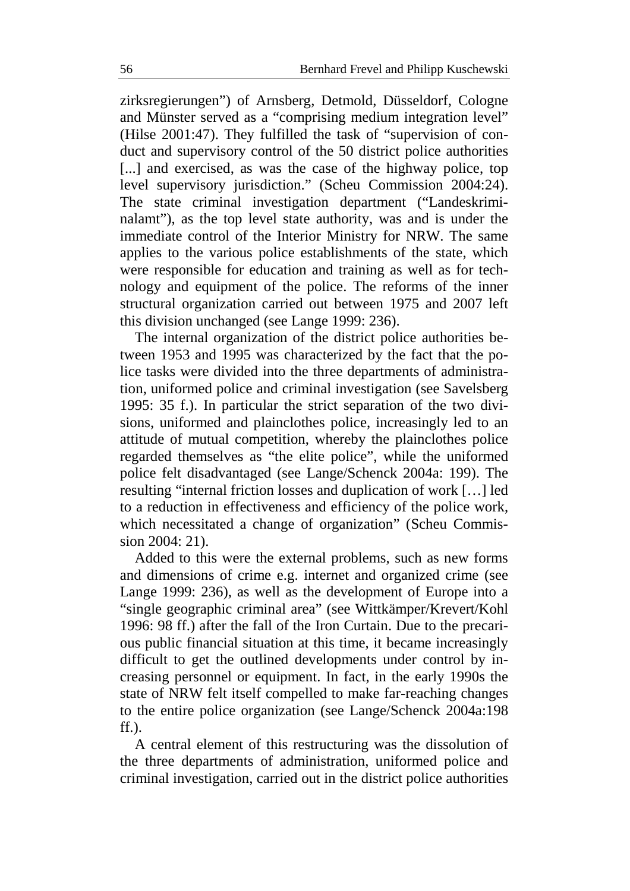zirksregierungen") of Arnsberg, Detmold, Düsseldorf, Cologne and Münster served as a "comprising medium integration level" (Hilse 2001:47). They fulfilled the task of "supervision of conduct and supervisory control of the 50 district police authorities [...] and exercised, as was the case of the highway police, top level supervisory jurisdiction." (Scheu Commission 2004:24). The state criminal investigation department ("Landeskriminalamt"), as the top level state authority, was and is under the immediate control of the Interior Ministry for NRW. The same applies to the various police establishments of the state, which were responsible for education and training as well as for technology and equipment of the police. The reforms of the inner structural organization carried out between 1975 and 2007 left this division unchanged (see Lange 1999: 236).

The internal organization of the district police authorities between 1953 and 1995 was characterized by the fact that the police tasks were divided into the three departments of administration, uniformed police and criminal investigation (see Savelsberg 1995: 35 f.). In particular the strict separation of the two divisions, uniformed and plainclothes police, increasingly led to an attitude of mutual competition, whereby the plainclothes police regarded themselves as "the elite police", while the uniformed police felt disadvantaged (see Lange/Schenck 2004a: 199). The resulting "internal friction losses and duplication of work […] led to a reduction in effectiveness and efficiency of the police work, which necessitated a change of organization" (Scheu Commission 2004: 21).

Added to this were the external problems, such as new forms and dimensions of crime e.g. internet and organized crime (see Lange 1999: 236), as well as the development of Europe into a "single geographic criminal area" (see Wittkämper/Krevert/Kohl 1996: 98 ff.) after the fall of the Iron Curtain. Due to the precarious public financial situation at this time, it became increasingly difficult to get the outlined developments under control by increasing personnel or equipment. In fact, in the early 1990s the state of NRW felt itself compelled to make far-reaching changes to the entire police organization (see Lange/Schenck 2004a:198 ff.).

A central element of this restructuring was the dissolution of the three departments of administration, uniformed police and criminal investigation, carried out in the district police authorities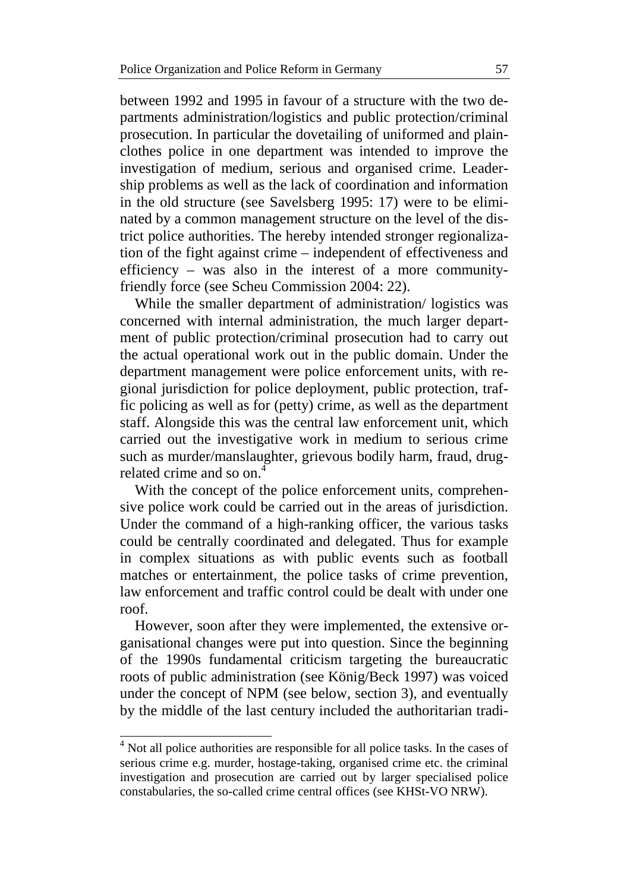between 1992 and 1995 in favour of a structure with the two departments administration/logistics and public protection/criminal prosecution. In particular the dovetailing of uniformed and plainclothes police in one department was intended to improve the investigation of medium, serious and organised crime. Leadership problems as well as the lack of coordination and information in the old structure (see Savelsberg 1995: 17) were to be eliminated by a common management structure on the level of the district police authorities. The hereby intended stronger regionalization of the fight against crime – independent of effectiveness and efficiency – was also in the interest of a more communityfriendly force (see Scheu Commission 2004: 22).

While the smaller department of administration/ logistics was concerned with internal administration, the much larger department of public protection/criminal prosecution had to carry out the actual operational work out in the public domain. Under the department management were police enforcement units, with regional jurisdiction for police deployment, public protection, traffic policing as well as for (petty) crime, as well as the department staff. Alongside this was the central law enforcement unit, which carried out the investigative work in medium to serious crime such as murder/manslaughter, grievous bodily harm, fraud, drugrelated crime and so on.<sup>4</sup>

With the concept of the police enforcement units, comprehensive police work could be carried out in the areas of jurisdiction. Under the command of a high-ranking officer, the various tasks could be centrally coordinated and delegated. Thus for example in complex situations as with public events such as football matches or entertainment, the police tasks of crime prevention, law enforcement and traffic control could be dealt with under one roof.

However, soon after they were implemented, the extensive organisational changes were put into question. Since the beginning of the 1990s fundamental criticism targeting the bureaucratic roots of public administration (see König/Beck 1997) was voiced under the concept of NPM (see below, section 3), and eventually by the middle of the last century included the authoritarian tradi-

 $\overline{a}$ 

<sup>&</sup>lt;sup>4</sup> Not all police authorities are responsible for all police tasks. In the cases of serious crime e.g. murder, hostage-taking, organised crime etc. the criminal investigation and prosecution are carried out by larger specialised police constabularies, the so-called crime central offices (see KHSt-VO NRW).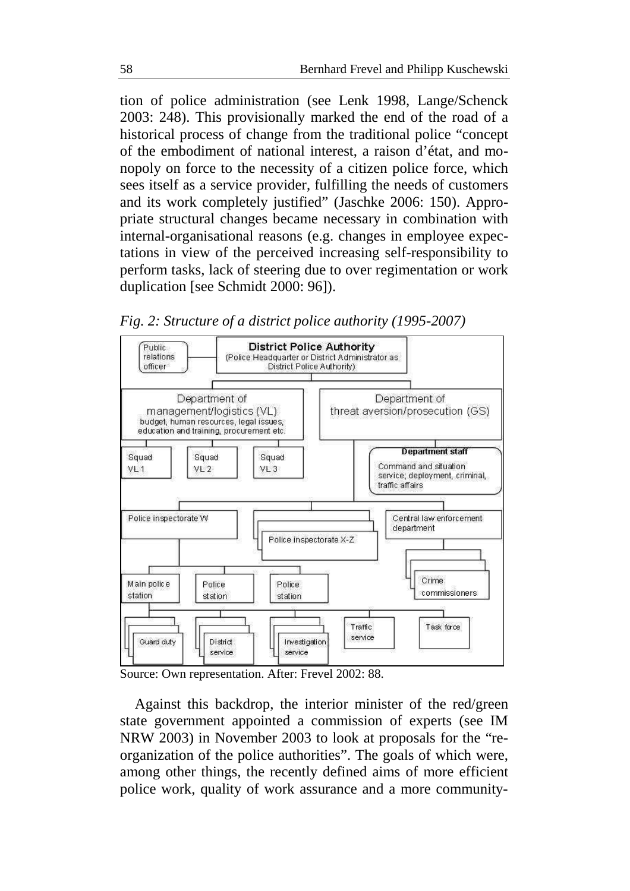tion of police administration (see Lenk 1998, Lange/Schenck 2003: 248). This provisionally marked the end of the road of a historical process of change from the traditional police "concept of the embodiment of national interest, a raison d'état, and monopoly on force to the necessity of a citizen police force, which sees itself as a service provider, fulfilling the needs of customers and its work completely justified" (Jaschke 2006: 150). Appropriate structural changes became necessary in combination with internal-organisational reasons (e.g. changes in employee expectations in view of the perceived increasing self-responsibility to perform tasks, lack of steering due to over regimentation or work duplication [see Schmidt 2000: 96]).





Source: Own representation. After: Frevel 2002: 88.

Against this backdrop, the interior minister of the red/green state government appointed a commission of experts (see IM NRW 2003) in November 2003 to look at proposals for the "reorganization of the police authorities". The goals of which were, among other things, the recently defined aims of more efficient police work, quality of work assurance and a more community-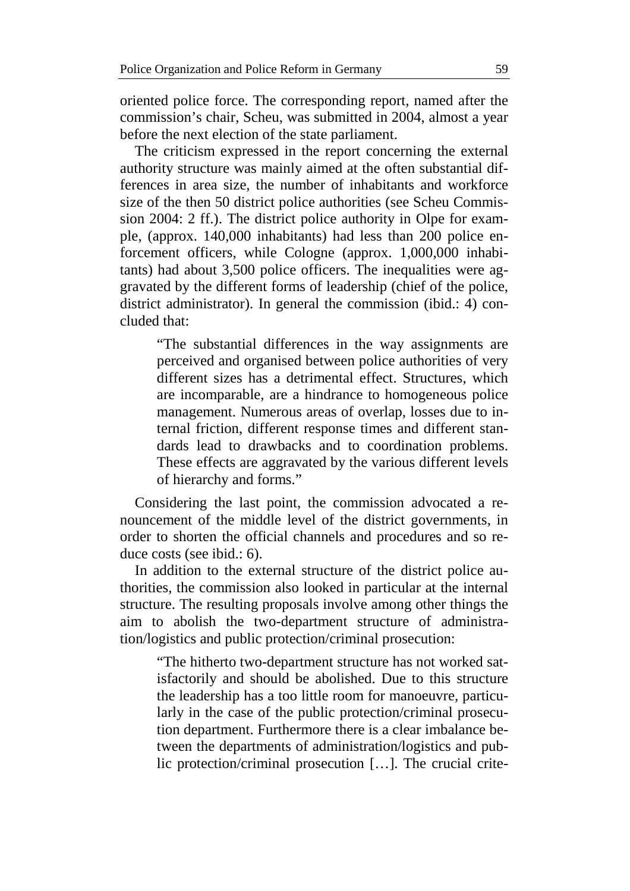oriented police force. The corresponding report, named after the commission's chair, Scheu, was submitted in 2004, almost a year before the next election of the state parliament.

The criticism expressed in the report concerning the external authority structure was mainly aimed at the often substantial differences in area size, the number of inhabitants and workforce size of the then 50 district police authorities (see Scheu Commission 2004: 2 ff.). The district police authority in Olpe for example, (approx. 140,000 inhabitants) had less than 200 police enforcement officers, while Cologne (approx. 1,000,000 inhabitants) had about 3,500 police officers. The inequalities were aggravated by the different forms of leadership (chief of the police, district administrator). In general the commission (ibid.: 4) concluded that:

"The substantial differences in the way assignments are perceived and organised between police authorities of very different sizes has a detrimental effect. Structures, which are incomparable, are a hindrance to homogeneous police management. Numerous areas of overlap, losses due to internal friction, different response times and different standards lead to drawbacks and to coordination problems. These effects are aggravated by the various different levels of hierarchy and forms."

Considering the last point, the commission advocated a renouncement of the middle level of the district governments, in order to shorten the official channels and procedures and so reduce costs (see ibid.: 6).

In addition to the external structure of the district police authorities, the commission also looked in particular at the internal structure. The resulting proposals involve among other things the aim to abolish the two-department structure of administration/logistics and public protection/criminal prosecution:

"The hitherto two-department structure has not worked satisfactorily and should be abolished. Due to this structure the leadership has a too little room for manoeuvre, particularly in the case of the public protection/criminal prosecution department. Furthermore there is a clear imbalance between the departments of administration/logistics and public protection/criminal prosecution […]. The crucial crite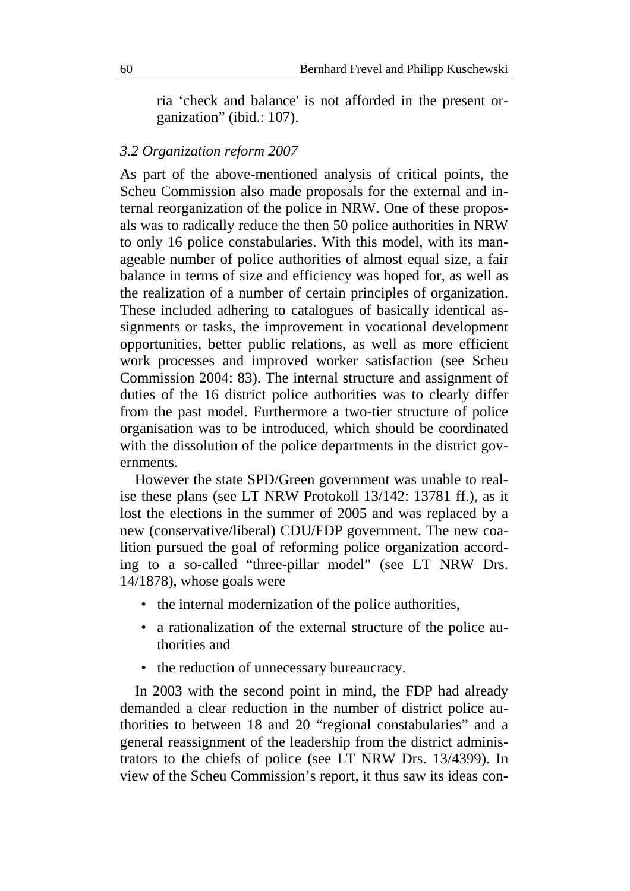ria 'check and balance' is not afforded in the present organization" (ibid.: 107).

#### *3.2 Organization reform 2007*

As part of the above-mentioned analysis of critical points, the Scheu Commission also made proposals for the external and internal reorganization of the police in NRW. One of these proposals was to radically reduce the then 50 police authorities in NRW to only 16 police constabularies. With this model, with its manageable number of police authorities of almost equal size, a fair balance in terms of size and efficiency was hoped for, as well as the realization of a number of certain principles of organization. These included adhering to catalogues of basically identical assignments or tasks, the improvement in vocational development opportunities, better public relations, as well as more efficient work processes and improved worker satisfaction (see Scheu Commission 2004: 83). The internal structure and assignment of duties of the 16 district police authorities was to clearly differ from the past model. Furthermore a two-tier structure of police organisation was to be introduced, which should be coordinated with the dissolution of the police departments in the district governments.

However the state SPD/Green government was unable to realise these plans (see LT NRW Protokoll 13/142: 13781 ff.), as it lost the elections in the summer of 2005 and was replaced by a new (conservative/liberal) CDU/FDP government. The new coalition pursued the goal of reforming police organization according to a so-called "three-pillar model" (see LT NRW Drs. 14/1878), whose goals were

- the internal modernization of the police authorities,
- a rationalization of the external structure of the police authorities and
- the reduction of unnecessary bureaucracy.

In 2003 with the second point in mind, the FDP had already demanded a clear reduction in the number of district police authorities to between 18 and 20 "regional constabularies" and a general reassignment of the leadership from the district administrators to the chiefs of police (see LT NRW Drs. 13/4399). In view of the Scheu Commission's report, it thus saw its ideas con-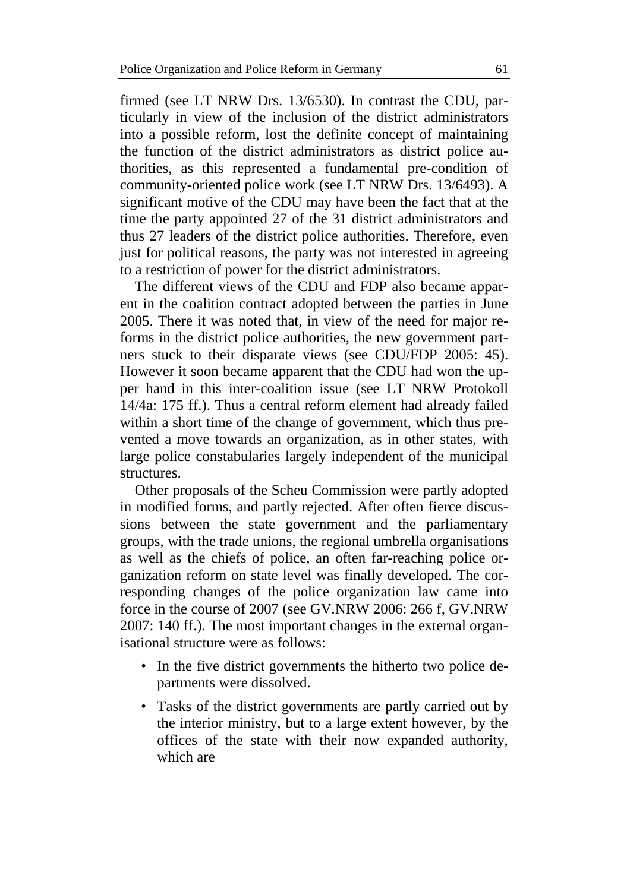firmed (see LT NRW Drs. 13/6530). In contrast the CDU, particularly in view of the inclusion of the district administrators into a possible reform, lost the definite concept of maintaining the function of the district administrators as district police authorities, as this represented a fundamental pre-condition of community-oriented police work (see LT NRW Drs. 13/6493). A significant motive of the CDU may have been the fact that at the time the party appointed 27 of the 31 district administrators and thus 27 leaders of the district police authorities. Therefore, even just for political reasons, the party was not interested in agreeing to a restriction of power for the district administrators.

The different views of the CDU and FDP also became apparent in the coalition contract adopted between the parties in June 2005. There it was noted that, in view of the need for major reforms in the district police authorities, the new government partners stuck to their disparate views (see CDU/FDP 2005: 45). However it soon became apparent that the CDU had won the upper hand in this inter-coalition issue (see LT NRW Protokoll 14/4a: 175 ff.). Thus a central reform element had already failed within a short time of the change of government, which thus prevented a move towards an organization, as in other states, with large police constabularies largely independent of the municipal structures.

Other proposals of the Scheu Commission were partly adopted in modified forms, and partly rejected. After often fierce discussions between the state government and the parliamentary groups, with the trade unions, the regional umbrella organisations as well as the chiefs of police, an often far-reaching police organization reform on state level was finally developed. The corresponding changes of the police organization law came into force in the course of 2007 (see GV.NRW 2006: 266 f, GV.NRW 2007: 140 ff.). The most important changes in the external organisational structure were as follows:

- In the five district governments the hitherto two police departments were dissolved.
- Tasks of the district governments are partly carried out by the interior ministry, but to a large extent however, by the offices of the state with their now expanded authority, which are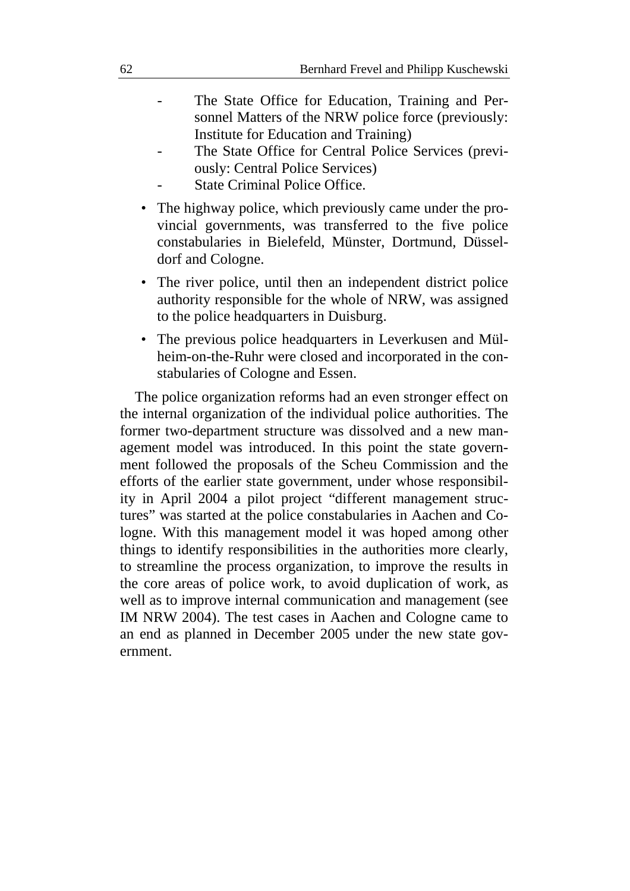- The State Office for Education, Training and Personnel Matters of the NRW police force (previously: Institute for Education and Training)
- The State Office for Central Police Services (previously: Central Police Services)
- State Criminal Police Office.
- The highway police, which previously came under the provincial governments, was transferred to the five police constabularies in Bielefeld, Münster, Dortmund, Düsseldorf and Cologne.
- The river police, until then an independent district police authority responsible for the whole of NRW, was assigned to the police headquarters in Duisburg.
- The previous police headquarters in Leverkusen and Mülheim-on-the-Ruhr were closed and incorporated in the constabularies of Cologne and Essen.

The police organization reforms had an even stronger effect on the internal organization of the individual police authorities. The former two-department structure was dissolved and a new management model was introduced. In this point the state government followed the proposals of the Scheu Commission and the efforts of the earlier state government, under whose responsibility in April 2004 a pilot project "different management structures" was started at the police constabularies in Aachen and Cologne. With this management model it was hoped among other things to identify responsibilities in the authorities more clearly, to streamline the process organization, to improve the results in the core areas of police work, to avoid duplication of work, as well as to improve internal communication and management (see IM NRW 2004). The test cases in Aachen and Cologne came to an end as planned in December 2005 under the new state government.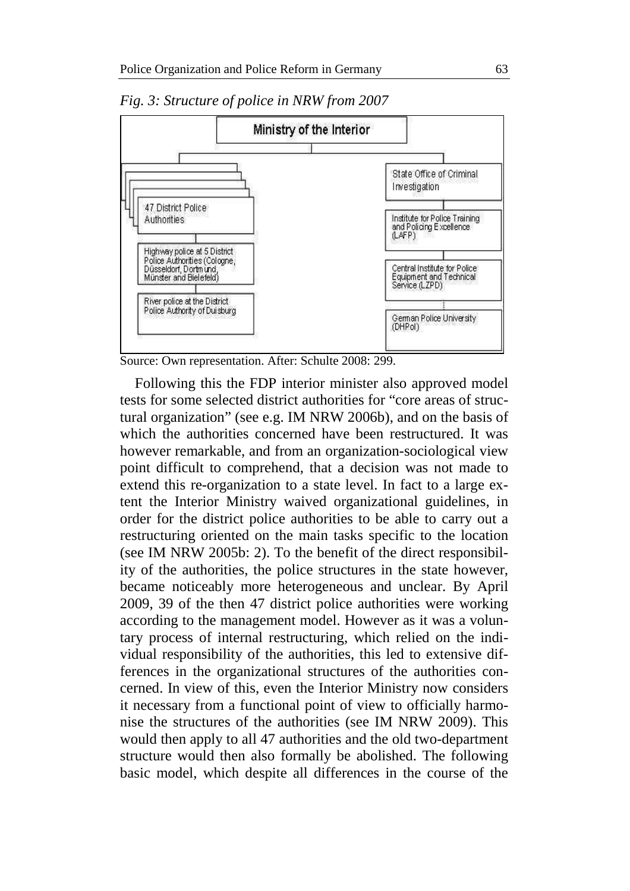

*Fig. 3: Structure of police in NRW from 2007* 

Source: Own representation. After: Schulte 2008: 299.

Following this the FDP interior minister also approved model tests for some selected district authorities for "core areas of structural organization" (see e.g. IM NRW 2006b), and on the basis of which the authorities concerned have been restructured. It was however remarkable, and from an organization-sociological view point difficult to comprehend, that a decision was not made to extend this re-organization to a state level. In fact to a large extent the Interior Ministry waived organizational guidelines, in order for the district police authorities to be able to carry out a restructuring oriented on the main tasks specific to the location (see IM NRW 2005b: 2). To the benefit of the direct responsibility of the authorities, the police structures in the state however, became noticeably more heterogeneous and unclear. By April 2009, 39 of the then 47 district police authorities were working according to the management model. However as it was a voluntary process of internal restructuring, which relied on the individual responsibility of the authorities, this led to extensive differences in the organizational structures of the authorities concerned. In view of this, even the Interior Ministry now considers it necessary from a functional point of view to officially harmonise the structures of the authorities (see IM NRW 2009). This would then apply to all 47 authorities and the old two-department structure would then also formally be abolished. The following basic model, which despite all differences in the course of the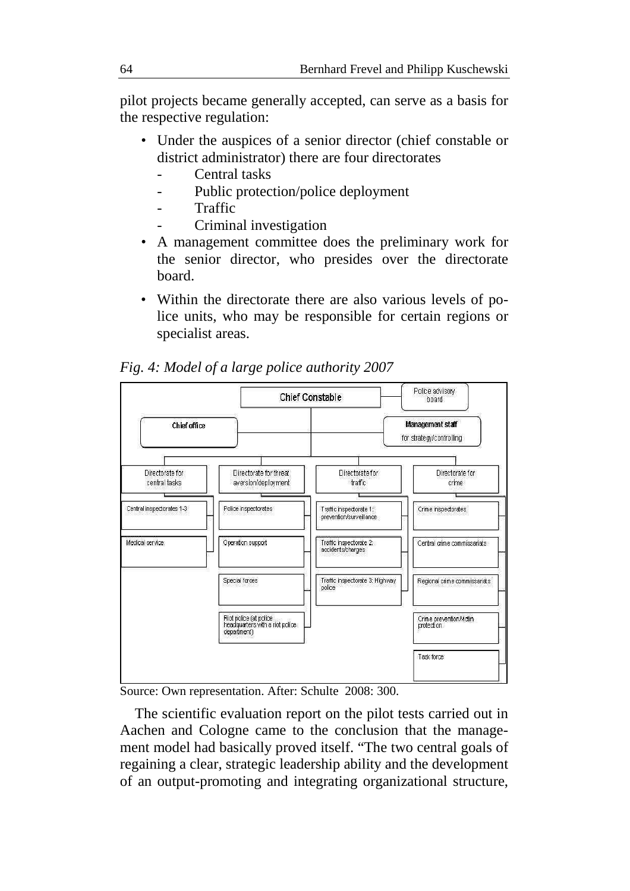pilot projects became generally accepted, can serve as a basis for the respective regulation:

- Under the auspices of a senior director (chief constable or district administrator) there are four directorates
	- Central tasks
	- Public protection/police deployment
	- **Traffic**
	- Criminal investigation
- A management committee does the preliminary work for the senior director, who presides over the directorate board.
- Within the directorate there are also various levels of police units, who may be responsible for certain regions or specialist areas.



*Fig. 4: Model of a large police authority 2007* 

Source: Own representation. After: Schulte 2008: 300.

The scientific evaluation report on the pilot tests carried out in Aachen and Cologne came to the conclusion that the management model had basically proved itself. "The two central goals of regaining a clear, strategic leadership ability and the development of an output-promoting and integrating organizational structure,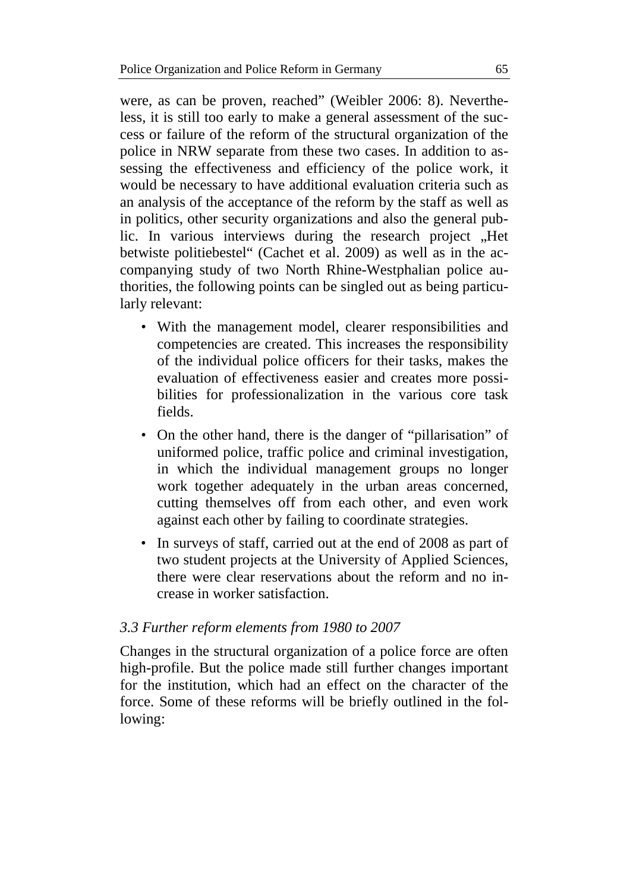were, as can be proven, reached" (Weibler 2006: 8). Nevertheless, it is still too early to make a general assessment of the success or failure of the reform of the structural organization of the police in NRW separate from these two cases. In addition to assessing the effectiveness and efficiency of the police work, it would be necessary to have additional evaluation criteria such as an analysis of the acceptance of the reform by the staff as well as in politics, other security organizations and also the general public. In various interviews during the research project "Het betwiste politiebestel" (Cachet et al. 2009) as well as in the accompanying study of two North Rhine-Westphalian police authorities, the following points can be singled out as being particularly relevant:

- With the management model, clearer responsibilities and competencies are created. This increases the responsibility of the individual police officers for their tasks, makes the evaluation of effectiveness easier and creates more possibilities for professionalization in the various core task fields.
- On the other hand, there is the danger of "pillarisation" of uniformed police, traffic police and criminal investigation, in which the individual management groups no longer work together adequately in the urban areas concerned, cutting themselves off from each other, and even work against each other by failing to coordinate strategies.
- In surveys of staff, carried out at the end of 2008 as part of two student projects at the University of Applied Sciences, there were clear reservations about the reform and no increase in worker satisfaction.

## *3.3 Further reform elements from 1980 to 2007*

Changes in the structural organization of a police force are often high-profile. But the police made still further changes important for the institution, which had an effect on the character of the force. Some of these reforms will be briefly outlined in the following: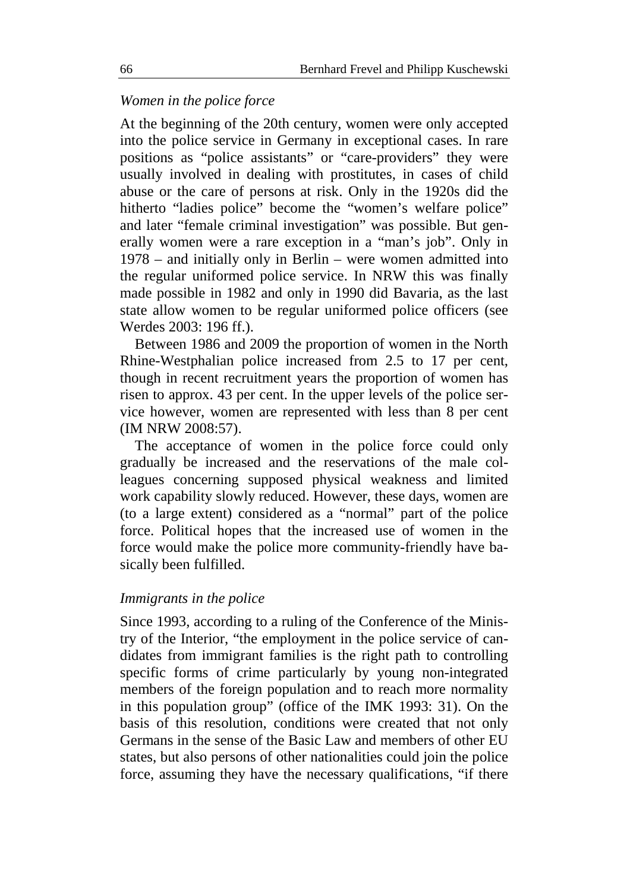## *Women in the police force*

At the beginning of the 20th century, women were only accepted into the police service in Germany in exceptional cases. In rare positions as "police assistants" or "care-providers" they were usually involved in dealing with prostitutes, in cases of child abuse or the care of persons at risk. Only in the 1920s did the hitherto "ladies police" become the "women's welfare police" and later "female criminal investigation" was possible. But generally women were a rare exception in a "man's job". Only in 1978 – and initially only in Berlin – were women admitted into the regular uniformed police service. In NRW this was finally made possible in 1982 and only in 1990 did Bavaria, as the last state allow women to be regular uniformed police officers (see Werdes 2003: 196 ff.).

Between 1986 and 2009 the proportion of women in the North Rhine-Westphalian police increased from 2.5 to 17 per cent, though in recent recruitment years the proportion of women has risen to approx. 43 per cent. In the upper levels of the police service however, women are represented with less than 8 per cent (IM NRW 2008:57).

The acceptance of women in the police force could only gradually be increased and the reservations of the male colleagues concerning supposed physical weakness and limited work capability slowly reduced. However, these days, women are (to a large extent) considered as a "normal" part of the police force. Political hopes that the increased use of women in the force would make the police more community-friendly have basically been fulfilled.

## *Immigrants in the police*

Since 1993, according to a ruling of the Conference of the Ministry of the Interior, "the employment in the police service of candidates from immigrant families is the right path to controlling specific forms of crime particularly by young non-integrated members of the foreign population and to reach more normality in this population group" (office of the IMK 1993: 31). On the basis of this resolution, conditions were created that not only Germans in the sense of the Basic Law and members of other EU states, but also persons of other nationalities could join the police force, assuming they have the necessary qualifications, "if there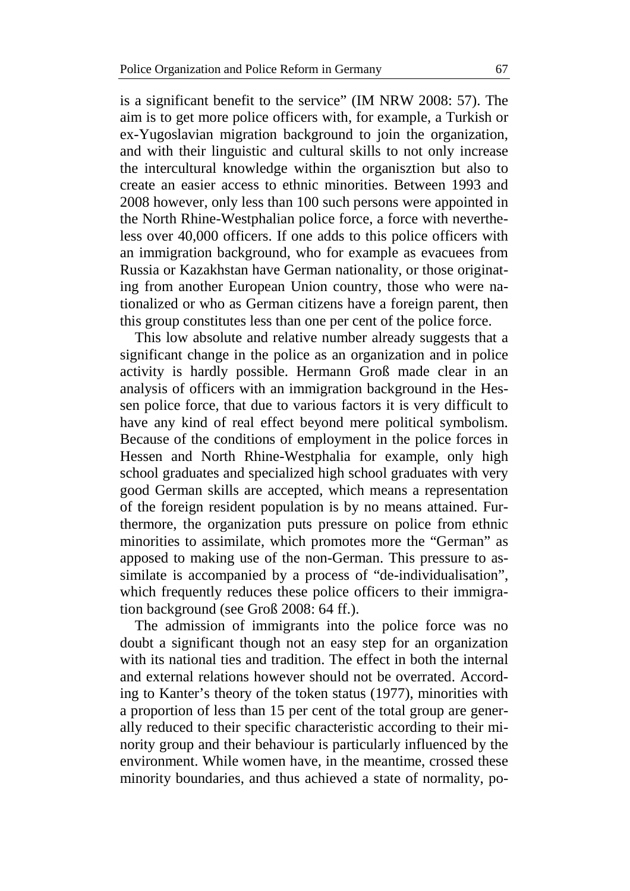is a significant benefit to the service" (IM NRW 2008: 57). The aim is to get more police officers with, for example, a Turkish or ex-Yugoslavian migration background to join the organization, and with their linguistic and cultural skills to not only increase the intercultural knowledge within the organisztion but also to create an easier access to ethnic minorities. Between 1993 and 2008 however, only less than 100 such persons were appointed in the North Rhine-Westphalian police force, a force with nevertheless over 40,000 officers. If one adds to this police officers with an immigration background, who for example as evacuees from Russia or Kazakhstan have German nationality, or those originating from another European Union country, those who were nationalized or who as German citizens have a foreign parent, then this group constitutes less than one per cent of the police force.

This low absolute and relative number already suggests that a significant change in the police as an organization and in police activity is hardly possible. Hermann Groß made clear in an analysis of officers with an immigration background in the Hessen police force, that due to various factors it is very difficult to have any kind of real effect beyond mere political symbolism. Because of the conditions of employment in the police forces in Hessen and North Rhine-Westphalia for example, only high school graduates and specialized high school graduates with very good German skills are accepted, which means a representation of the foreign resident population is by no means attained. Furthermore, the organization puts pressure on police from ethnic minorities to assimilate, which promotes more the "German" as apposed to making use of the non-German. This pressure to assimilate is accompanied by a process of "de-individualisation", which frequently reduces these police officers to their immigration background (see Groß 2008: 64 ff.).

The admission of immigrants into the police force was no doubt a significant though not an easy step for an organization with its national ties and tradition. The effect in both the internal and external relations however should not be overrated. According to Kanter's theory of the token status (1977), minorities with a proportion of less than 15 per cent of the total group are generally reduced to their specific characteristic according to their minority group and their behaviour is particularly influenced by the environment. While women have, in the meantime, crossed these minority boundaries, and thus achieved a state of normality, po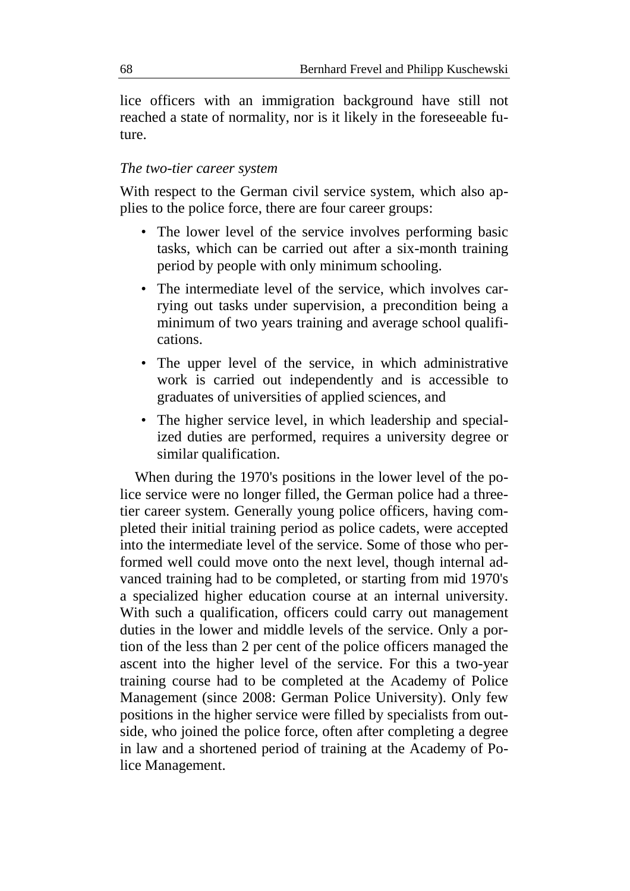lice officers with an immigration background have still not reached a state of normality, nor is it likely in the foreseeable future.

#### *The two-tier career system*

With respect to the German civil service system, which also applies to the police force, there are four career groups:

- The lower level of the service involves performing basic tasks, which can be carried out after a six-month training period by people with only minimum schooling.
- The intermediate level of the service, which involves carrying out tasks under supervision, a precondition being a minimum of two years training and average school qualifications.
- The upper level of the service, in which administrative work is carried out independently and is accessible to graduates of universities of applied sciences, and
- The higher service level, in which leadership and specialized duties are performed, requires a university degree or similar qualification.

When during the 1970's positions in the lower level of the police service were no longer filled, the German police had a threetier career system. Generally young police officers, having completed their initial training period as police cadets, were accepted into the intermediate level of the service. Some of those who performed well could move onto the next level, though internal advanced training had to be completed, or starting from mid 1970's a specialized higher education course at an internal university. With such a qualification, officers could carry out management duties in the lower and middle levels of the service. Only a portion of the less than 2 per cent of the police officers managed the ascent into the higher level of the service. For this a two-year training course had to be completed at the Academy of Police Management (since 2008: German Police University). Only few positions in the higher service were filled by specialists from outside, who joined the police force, often after completing a degree in law and a shortened period of training at the Academy of Police Management.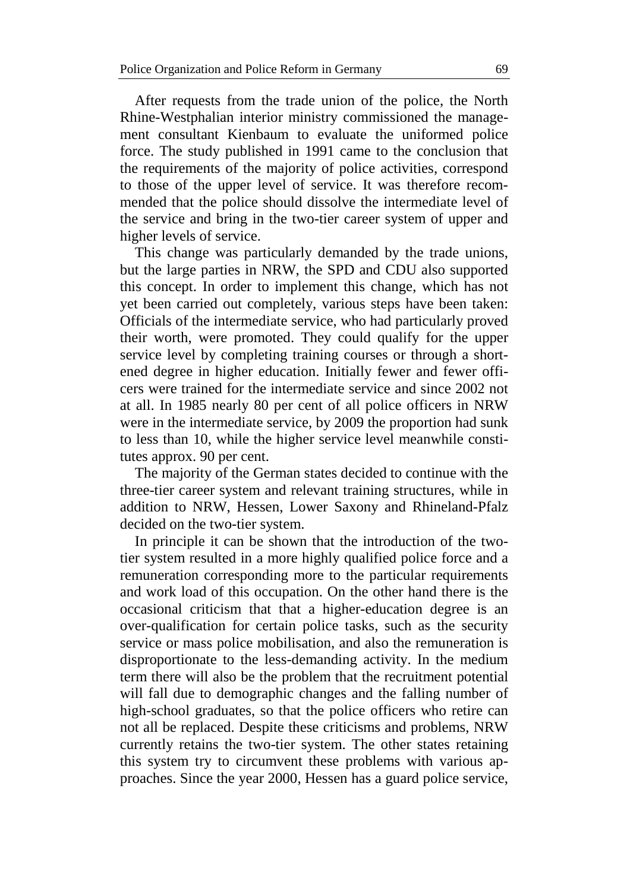After requests from the trade union of the police, the North Rhine-Westphalian interior ministry commissioned the management consultant Kienbaum to evaluate the uniformed police force. The study published in 1991 came to the conclusion that the requirements of the majority of police activities, correspond to those of the upper level of service. It was therefore recommended that the police should dissolve the intermediate level of the service and bring in the two-tier career system of upper and higher levels of service.

This change was particularly demanded by the trade unions, but the large parties in NRW, the SPD and CDU also supported this concept. In order to implement this change, which has not yet been carried out completely, various steps have been taken: Officials of the intermediate service, who had particularly proved their worth, were promoted. They could qualify for the upper service level by completing training courses or through a shortened degree in higher education. Initially fewer and fewer officers were trained for the intermediate service and since 2002 not at all. In 1985 nearly 80 per cent of all police officers in NRW were in the intermediate service, by 2009 the proportion had sunk to less than 10, while the higher service level meanwhile constitutes approx. 90 per cent.

The majority of the German states decided to continue with the three-tier career system and relevant training structures, while in addition to NRW, Hessen, Lower Saxony and Rhineland-Pfalz decided on the two-tier system.

In principle it can be shown that the introduction of the twotier system resulted in a more highly qualified police force and a remuneration corresponding more to the particular requirements and work load of this occupation. On the other hand there is the occasional criticism that that a higher-education degree is an over-qualification for certain police tasks, such as the security service or mass police mobilisation, and also the remuneration is disproportionate to the less-demanding activity. In the medium term there will also be the problem that the recruitment potential will fall due to demographic changes and the falling number of high-school graduates, so that the police officers who retire can not all be replaced. Despite these criticisms and problems, NRW currently retains the two-tier system. The other states retaining this system try to circumvent these problems with various approaches. Since the year 2000, Hessen has a guard police service,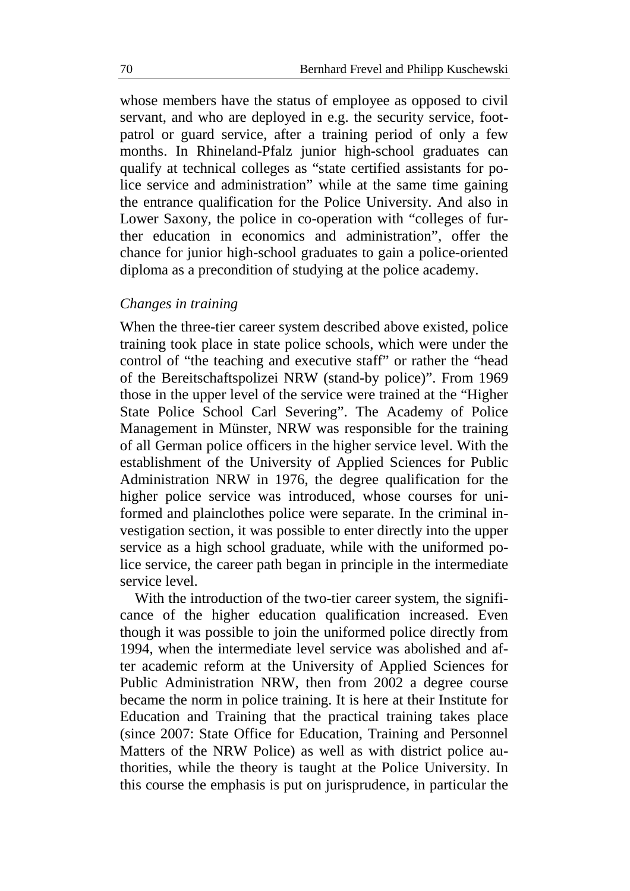whose members have the status of employee as opposed to civil servant, and who are deployed in e.g. the security service, footpatrol or guard service, after a training period of only a few months. In Rhineland-Pfalz junior high-school graduates can qualify at technical colleges as "state certified assistants for police service and administration" while at the same time gaining the entrance qualification for the Police University. And also in Lower Saxony, the police in co-operation with "colleges of further education in economics and administration", offer the chance for junior high-school graduates to gain a police-oriented diploma as a precondition of studying at the police academy.

#### *Changes in training*

When the three-tier career system described above existed, police training took place in state police schools, which were under the control of "the teaching and executive staff" or rather the "head of the Bereitschaftspolizei NRW (stand-by police)". From 1969 those in the upper level of the service were trained at the "Higher State Police School Carl Severing". The Academy of Police Management in Münster, NRW was responsible for the training of all German police officers in the higher service level. With the establishment of the University of Applied Sciences for Public Administration NRW in 1976, the degree qualification for the higher police service was introduced, whose courses for uniformed and plainclothes police were separate. In the criminal investigation section, it was possible to enter directly into the upper service as a high school graduate, while with the uniformed police service, the career path began in principle in the intermediate service level.

With the introduction of the two-tier career system, the significance of the higher education qualification increased. Even though it was possible to join the uniformed police directly from 1994, when the intermediate level service was abolished and after academic reform at the University of Applied Sciences for Public Administration NRW, then from 2002 a degree course became the norm in police training. It is here at their Institute for Education and Training that the practical training takes place (since 2007: State Office for Education, Training and Personnel Matters of the NRW Police) as well as with district police authorities, while the theory is taught at the Police University. In this course the emphasis is put on jurisprudence, in particular the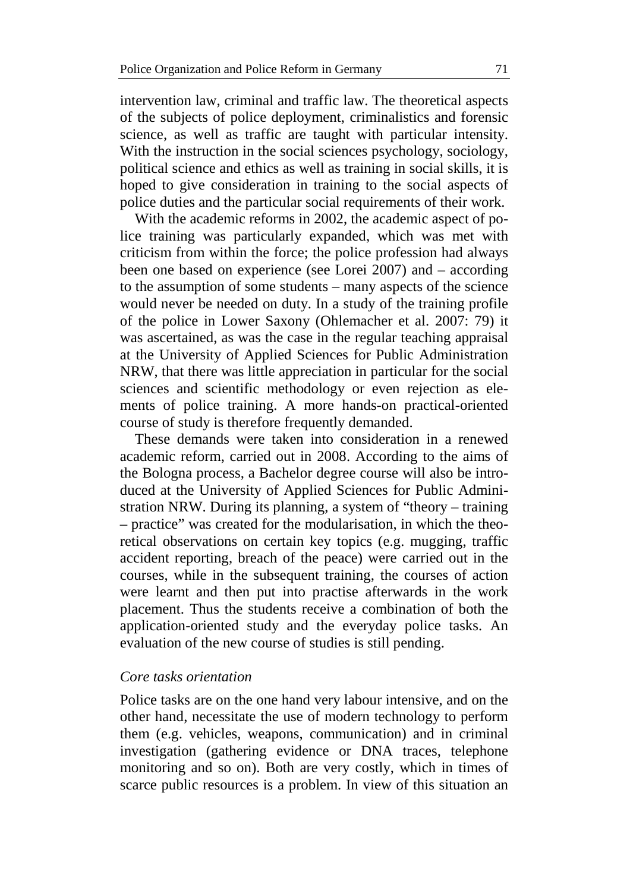intervention law, criminal and traffic law. The theoretical aspects of the subjects of police deployment, criminalistics and forensic science, as well as traffic are taught with particular intensity. With the instruction in the social sciences psychology, sociology, political science and ethics as well as training in social skills, it is hoped to give consideration in training to the social aspects of police duties and the particular social requirements of their work.

With the academic reforms in 2002, the academic aspect of police training was particularly expanded, which was met with criticism from within the force; the police profession had always been one based on experience (see Lorei 2007) and – according to the assumption of some students – many aspects of the science would never be needed on duty. In a study of the training profile of the police in Lower Saxony (Ohlemacher et al. 2007: 79) it was ascertained, as was the case in the regular teaching appraisal at the University of Applied Sciences for Public Administration NRW, that there was little appreciation in particular for the social sciences and scientific methodology or even rejection as elements of police training. A more hands-on practical-oriented course of study is therefore frequently demanded.

These demands were taken into consideration in a renewed academic reform, carried out in 2008. According to the aims of the Bologna process, a Bachelor degree course will also be introduced at the University of Applied Sciences for Public Administration NRW. During its planning, a system of "theory – training – practice" was created for the modularisation, in which the theoretical observations on certain key topics (e.g. mugging, traffic accident reporting, breach of the peace) were carried out in the courses, while in the subsequent training, the courses of action were learnt and then put into practise afterwards in the work placement. Thus the students receive a combination of both the application-oriented study and the everyday police tasks. An evaluation of the new course of studies is still pending.

#### *Core tasks orientation*

Police tasks are on the one hand very labour intensive, and on the other hand, necessitate the use of modern technology to perform them (e.g. vehicles, weapons, communication) and in criminal investigation (gathering evidence or DNA traces, telephone monitoring and so on). Both are very costly, which in times of scarce public resources is a problem. In view of this situation an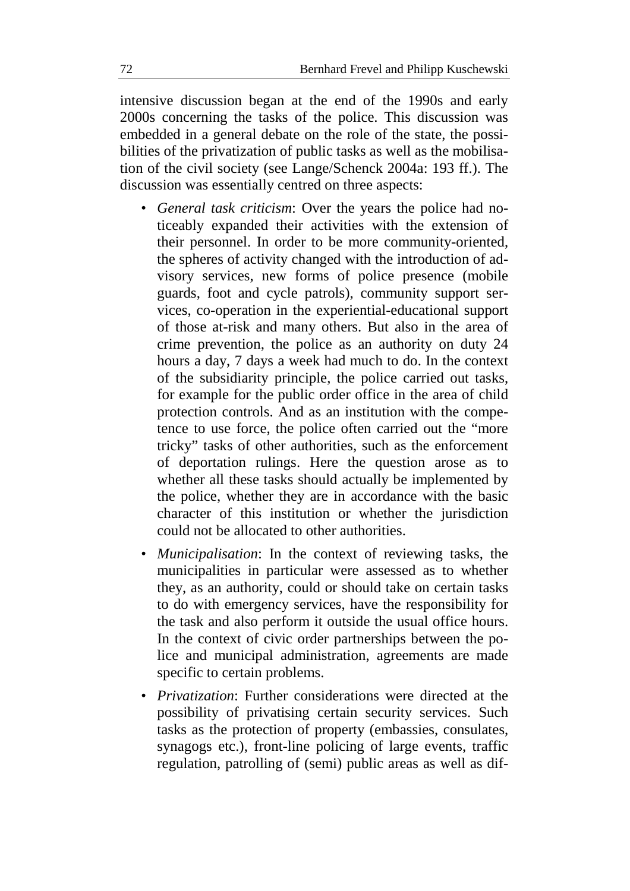intensive discussion began at the end of the 1990s and early 2000s concerning the tasks of the police. This discussion was embedded in a general debate on the role of the state, the possibilities of the privatization of public tasks as well as the mobilisation of the civil society (see Lange/Schenck 2004a: 193 ff.). The discussion was essentially centred on three aspects:

- *General task criticism*: Over the years the police had noticeably expanded their activities with the extension of their personnel. In order to be more community-oriented, the spheres of activity changed with the introduction of advisory services, new forms of police presence (mobile guards, foot and cycle patrols), community support services, co-operation in the experiential-educational support of those at-risk and many others. But also in the area of crime prevention, the police as an authority on duty 24 hours a day, 7 days a week had much to do. In the context of the subsidiarity principle, the police carried out tasks, for example for the public order office in the area of child protection controls. And as an institution with the competence to use force, the police often carried out the "more tricky" tasks of other authorities, such as the enforcement of deportation rulings. Here the question arose as to whether all these tasks should actually be implemented by the police, whether they are in accordance with the basic character of this institution or whether the jurisdiction could not be allocated to other authorities.
- *Municipalisation*: In the context of reviewing tasks, the municipalities in particular were assessed as to whether they, as an authority, could or should take on certain tasks to do with emergency services, have the responsibility for the task and also perform it outside the usual office hours. In the context of civic order partnerships between the police and municipal administration, agreements are made specific to certain problems.
- *Privatization*: Further considerations were directed at the possibility of privatising certain security services. Such tasks as the protection of property (embassies, consulates, synagogs etc.), front-line policing of large events, traffic regulation, patrolling of (semi) public areas as well as dif-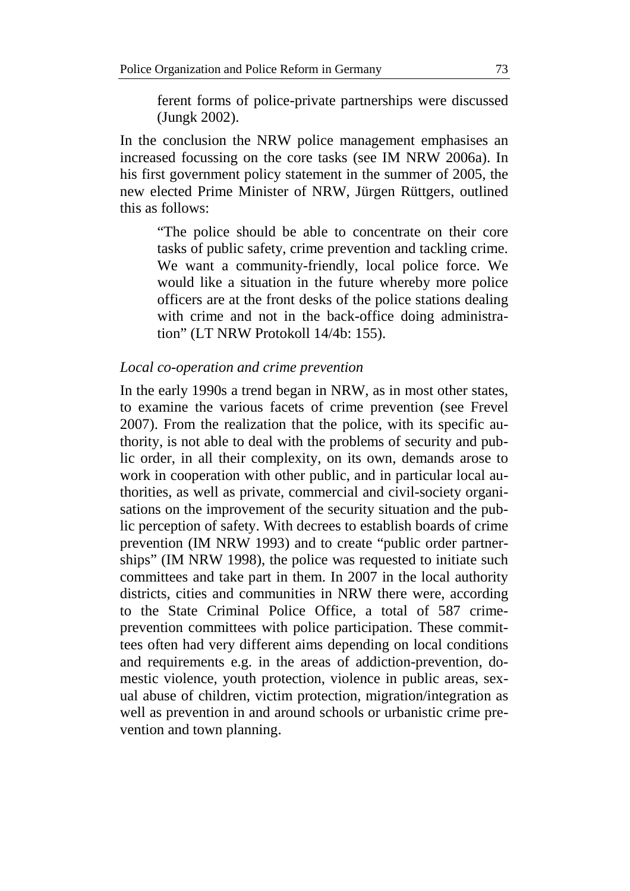ferent forms of police-private partnerships were discussed (Jungk 2002).

In the conclusion the NRW police management emphasises an increased focussing on the core tasks (see IM NRW 2006a). In his first government policy statement in the summer of 2005, the new elected Prime Minister of NRW, Jürgen Rüttgers, outlined this as follows:

"The police should be able to concentrate on their core tasks of public safety, crime prevention and tackling crime. We want a community-friendly, local police force. We would like a situation in the future whereby more police officers are at the front desks of the police stations dealing with crime and not in the back-office doing administration" (LT NRW Protokoll 14/4b: 155).

#### *Local co-operation and crime prevention*

In the early 1990s a trend began in NRW, as in most other states, to examine the various facets of crime prevention (see Frevel 2007). From the realization that the police, with its specific authority, is not able to deal with the problems of security and public order, in all their complexity, on its own, demands arose to work in cooperation with other public, and in particular local authorities, as well as private, commercial and civil-society organisations on the improvement of the security situation and the public perception of safety. With decrees to establish boards of crime prevention (IM NRW 1993) and to create "public order partnerships" (IM NRW 1998), the police was requested to initiate such committees and take part in them. In 2007 in the local authority districts, cities and communities in NRW there were, according to the State Criminal Police Office, a total of 587 crimeprevention committees with police participation. These committees often had very different aims depending on local conditions and requirements e.g. in the areas of addiction-prevention, domestic violence, youth protection, violence in public areas, sexual abuse of children, victim protection, migration/integration as well as prevention in and around schools or urbanistic crime prevention and town planning.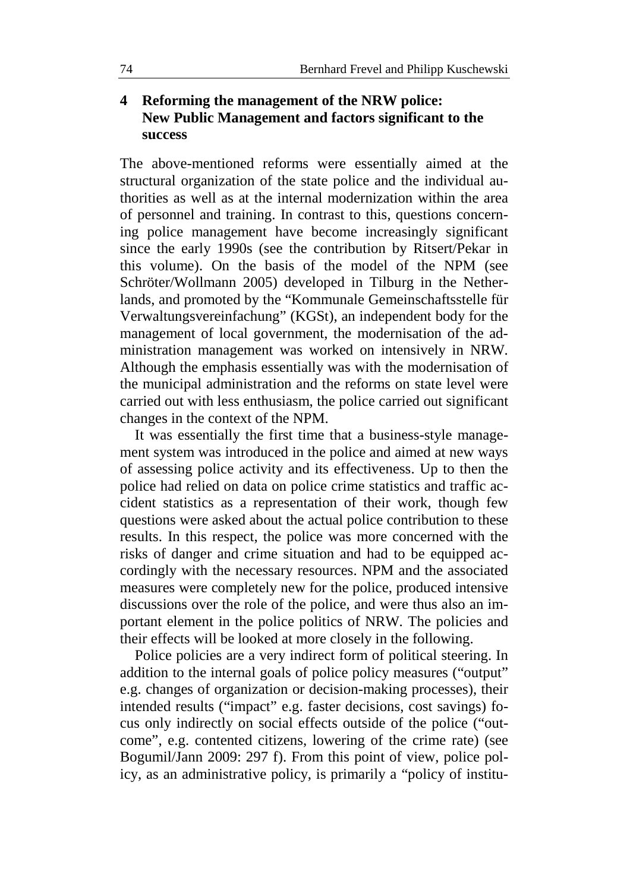## **4 Reforming the management of the NRW police: New Public Management and factors significant to the success**

The above-mentioned reforms were essentially aimed at the structural organization of the state police and the individual authorities as well as at the internal modernization within the area of personnel and training. In contrast to this, questions concerning police management have become increasingly significant since the early 1990s (see the contribution by Ritsert/Pekar in this volume). On the basis of the model of the NPM (see Schröter/Wollmann 2005) developed in Tilburg in the Netherlands, and promoted by the "Kommunale Gemeinschaftsstelle für Verwaltungsvereinfachung" (KGSt), an independent body for the management of local government, the modernisation of the administration management was worked on intensively in NRW. Although the emphasis essentially was with the modernisation of the municipal administration and the reforms on state level were carried out with less enthusiasm, the police carried out significant changes in the context of the NPM.

It was essentially the first time that a business-style management system was introduced in the police and aimed at new ways of assessing police activity and its effectiveness. Up to then the police had relied on data on police crime statistics and traffic accident statistics as a representation of their work, though few questions were asked about the actual police contribution to these results. In this respect, the police was more concerned with the risks of danger and crime situation and had to be equipped accordingly with the necessary resources. NPM and the associated measures were completely new for the police, produced intensive discussions over the role of the police, and were thus also an important element in the police politics of NRW. The policies and their effects will be looked at more closely in the following.

Police policies are a very indirect form of political steering. In addition to the internal goals of police policy measures ("output" e.g. changes of organization or decision-making processes), their intended results ("impact" e.g. faster decisions, cost savings) focus only indirectly on social effects outside of the police ("outcome", e.g. contented citizens, lowering of the crime rate) (see Bogumil/Jann 2009: 297 f). From this point of view, police policy, as an administrative policy, is primarily a "policy of institu-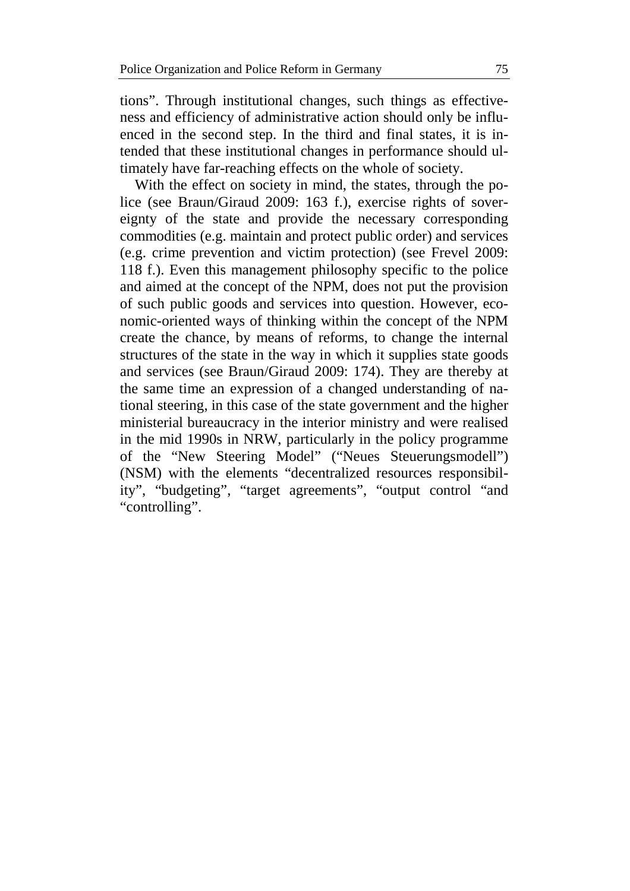tions". Through institutional changes, such things as effectiveness and efficiency of administrative action should only be influenced in the second step. In the third and final states, it is intended that these institutional changes in performance should ultimately have far-reaching effects on the whole of society.

With the effect on society in mind, the states, through the police (see Braun/Giraud 2009: 163 f.), exercise rights of sovereignty of the state and provide the necessary corresponding commodities (e.g. maintain and protect public order) and services (e.g. crime prevention and victim protection) (see Frevel 2009: 118 f.). Even this management philosophy specific to the police and aimed at the concept of the NPM, does not put the provision of such public goods and services into question. However, economic-oriented ways of thinking within the concept of the NPM create the chance, by means of reforms, to change the internal structures of the state in the way in which it supplies state goods and services (see Braun/Giraud 2009: 174). They are thereby at the same time an expression of a changed understanding of national steering, in this case of the state government and the higher ministerial bureaucracy in the interior ministry and were realised in the mid 1990s in NRW, particularly in the policy programme of the "New Steering Model" ("Neues Steuerungsmodell") (NSM) with the elements "decentralized resources responsibility", "budgeting", "target agreements", "output control "and "controlling".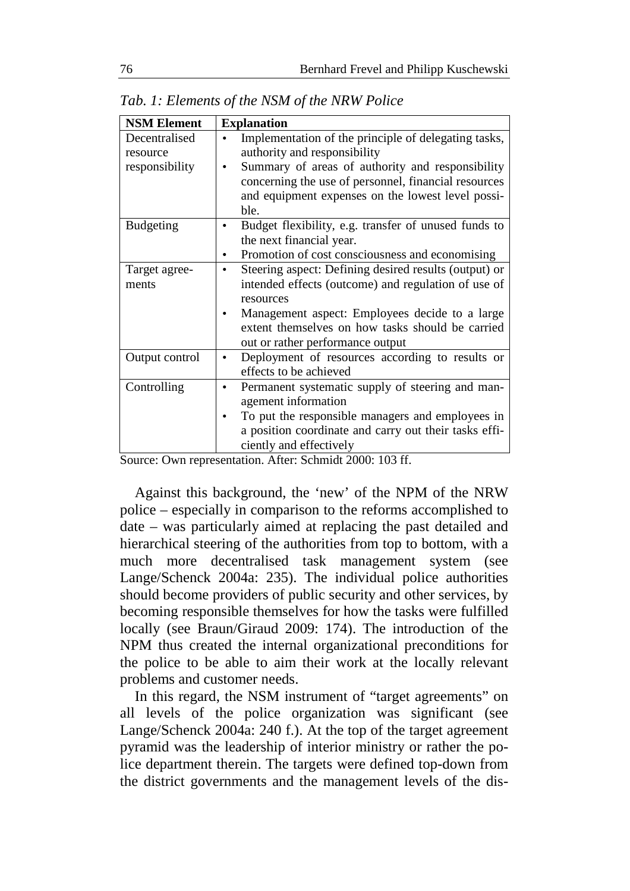| <b>NSM Element</b> | <b>Explanation</b>                                                 |
|--------------------|--------------------------------------------------------------------|
| Decentralised      | Implementation of the principle of delegating tasks,               |
| resource           | authority and responsibility                                       |
| responsibility     | Summary of areas of authority and responsibility                   |
|                    | concerning the use of personnel, financial resources               |
|                    | and equipment expenses on the lowest level possi-                  |
|                    | ble.                                                               |
| <b>Budgeting</b>   | Budget flexibility, e.g. transfer of unused funds to               |
|                    | the next financial year.                                           |
|                    | Promotion of cost consciousness and economising                    |
| Target agree-      | Steering aspect: Defining desired results (output) or<br>$\bullet$ |
| ments              | intended effects (outcome) and regulation of use of                |
|                    | resources                                                          |
|                    | Management aspect: Employees decide to a large                     |
|                    | extent themselves on how tasks should be carried                   |
|                    | out or rather performance output                                   |
| Output control     | Deployment of resources according to results or<br>$\bullet$       |
|                    | effects to be achieved                                             |
| Controlling        | Permanent systematic supply of steering and man-                   |
|                    | agement information                                                |
|                    | To put the responsible managers and employees in                   |
|                    | a position coordinate and carry out their tasks effi-              |
|                    | ciently and effectively                                            |

*Tab. 1: Elements of the NSM of the NRW Police* 

Source: Own representation. After: Schmidt 2000: 103 ff.

Against this background, the 'new' of the NPM of the NRW police – especially in comparison to the reforms accomplished to date – was particularly aimed at replacing the past detailed and hierarchical steering of the authorities from top to bottom, with a much more decentralised task management system (see Lange/Schenck 2004a: 235). The individual police authorities should become providers of public security and other services, by becoming responsible themselves for how the tasks were fulfilled locally (see Braun/Giraud 2009: 174). The introduction of the NPM thus created the internal organizational preconditions for the police to be able to aim their work at the locally relevant problems and customer needs.

In this regard, the NSM instrument of "target agreements" on all levels of the police organization was significant (see Lange/Schenck 2004a: 240 f.). At the top of the target agreement pyramid was the leadership of interior ministry or rather the police department therein. The targets were defined top-down from the district governments and the management levels of the dis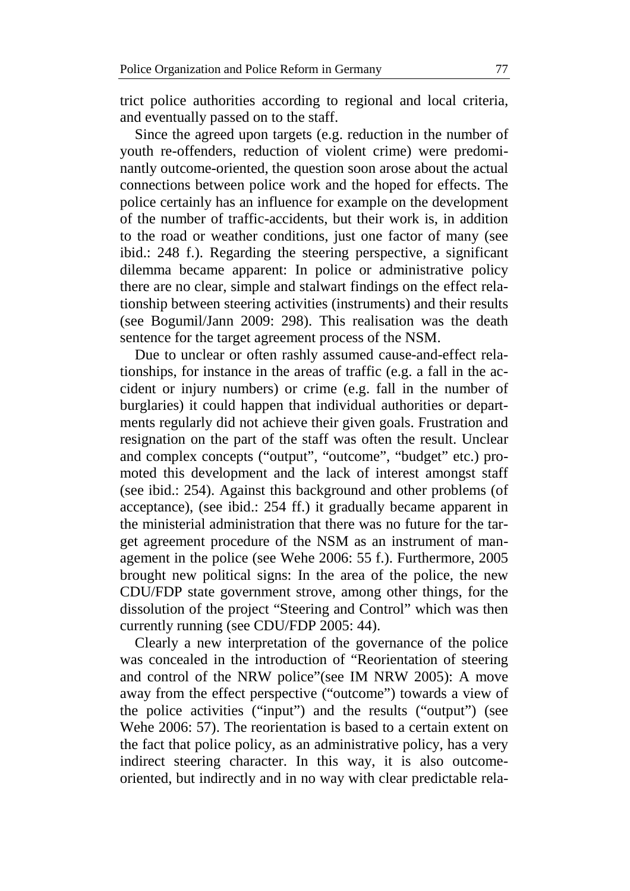trict police authorities according to regional and local criteria, and eventually passed on to the staff.

Since the agreed upon targets (e.g. reduction in the number of youth re-offenders, reduction of violent crime) were predominantly outcome-oriented, the question soon arose about the actual connections between police work and the hoped for effects. The police certainly has an influence for example on the development of the number of traffic-accidents, but their work is, in addition to the road or weather conditions, just one factor of many (see ibid.: 248 f.). Regarding the steering perspective, a significant dilemma became apparent: In police or administrative policy there are no clear, simple and stalwart findings on the effect relationship between steering activities (instruments) and their results (see Bogumil/Jann 2009: 298). This realisation was the death sentence for the target agreement process of the NSM.

Due to unclear or often rashly assumed cause-and-effect relationships, for instance in the areas of traffic (e.g. a fall in the accident or injury numbers) or crime (e.g. fall in the number of burglaries) it could happen that individual authorities or departments regularly did not achieve their given goals. Frustration and resignation on the part of the staff was often the result. Unclear and complex concepts ("output", "outcome", "budget" etc.) promoted this development and the lack of interest amongst staff (see ibid.: 254). Against this background and other problems (of acceptance), (see ibid.: 254 ff.) it gradually became apparent in the ministerial administration that there was no future for the target agreement procedure of the NSM as an instrument of management in the police (see Wehe 2006: 55 f.). Furthermore, 2005 brought new political signs: In the area of the police, the new CDU/FDP state government strove, among other things, for the dissolution of the project "Steering and Control" which was then currently running (see CDU/FDP 2005: 44).

Clearly a new interpretation of the governance of the police was concealed in the introduction of "Reorientation of steering and control of the NRW police"(see IM NRW 2005): A move away from the effect perspective ("outcome") towards a view of the police activities ("input") and the results ("output") (see Wehe 2006: 57). The reorientation is based to a certain extent on the fact that police policy, as an administrative policy, has a very indirect steering character. In this way, it is also outcomeoriented, but indirectly and in no way with clear predictable rela-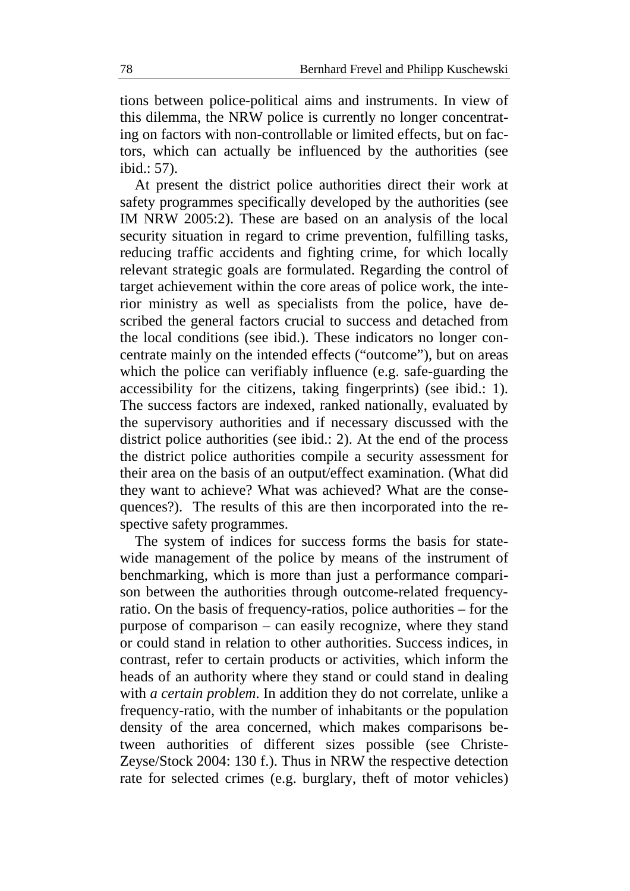tions between police-political aims and instruments. In view of this dilemma, the NRW police is currently no longer concentrating on factors with non-controllable or limited effects, but on factors, which can actually be influenced by the authorities (see ibid.: 57).

At present the district police authorities direct their work at safety programmes specifically developed by the authorities (see IM NRW 2005:2). These are based on an analysis of the local security situation in regard to crime prevention, fulfilling tasks, reducing traffic accidents and fighting crime, for which locally relevant strategic goals are formulated. Regarding the control of target achievement within the core areas of police work, the interior ministry as well as specialists from the police, have described the general factors crucial to success and detached from the local conditions (see ibid.). These indicators no longer concentrate mainly on the intended effects ("outcome"), but on areas which the police can verifiably influence (e.g. safe-guarding the accessibility for the citizens, taking fingerprints) (see ibid.: 1). The success factors are indexed, ranked nationally, evaluated by the supervisory authorities and if necessary discussed with the district police authorities (see ibid.: 2). At the end of the process the district police authorities compile a security assessment for their area on the basis of an output/effect examination. (What did they want to achieve? What was achieved? What are the consequences?). The results of this are then incorporated into the respective safety programmes.

The system of indices for success forms the basis for statewide management of the police by means of the instrument of benchmarking, which is more than just a performance comparison between the authorities through outcome-related frequencyratio. On the basis of frequency-ratios, police authorities – for the purpose of comparison – can easily recognize, where they stand or could stand in relation to other authorities. Success indices, in contrast, refer to certain products or activities, which inform the heads of an authority where they stand or could stand in dealing with *a certain problem*. In addition they do not correlate, unlike a frequency-ratio, with the number of inhabitants or the population density of the area concerned, which makes comparisons between authorities of different sizes possible (see Christe-Zeyse/Stock 2004: 130 f.). Thus in NRW the respective detection rate for selected crimes (e.g. burglary, theft of motor vehicles)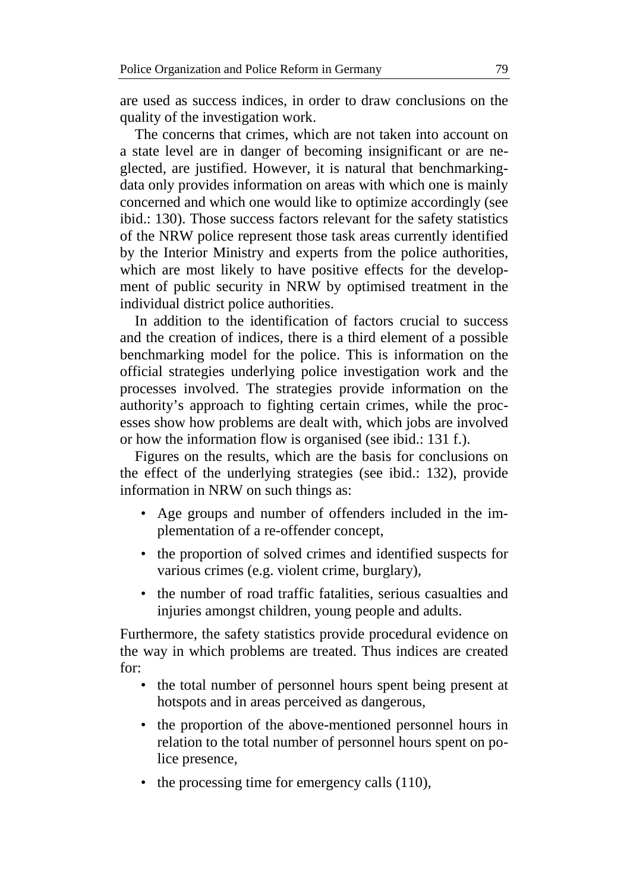are used as success indices, in order to draw conclusions on the quality of the investigation work.

The concerns that crimes, which are not taken into account on a state level are in danger of becoming insignificant or are neglected, are justified. However, it is natural that benchmarkingdata only provides information on areas with which one is mainly concerned and which one would like to optimize accordingly (see ibid.: 130). Those success factors relevant for the safety statistics of the NRW police represent those task areas currently identified by the Interior Ministry and experts from the police authorities, which are most likely to have positive effects for the development of public security in NRW by optimised treatment in the individual district police authorities.

In addition to the identification of factors crucial to success and the creation of indices, there is a third element of a possible benchmarking model for the police. This is information on the official strategies underlying police investigation work and the processes involved. The strategies provide information on the authority's approach to fighting certain crimes, while the processes show how problems are dealt with, which jobs are involved or how the information flow is organised (see ibid.: 131 f.).

Figures on the results, which are the basis for conclusions on the effect of the underlying strategies (see ibid.: 132), provide information in NRW on such things as:

- Age groups and number of offenders included in the implementation of a re-offender concept,
- the proportion of solved crimes and identified suspects for various crimes (e.g. violent crime, burglary),
- the number of road traffic fatalities, serious casualties and injuries amongst children, young people and adults.

Furthermore, the safety statistics provide procedural evidence on the way in which problems are treated. Thus indices are created for:

- the total number of personnel hours spent being present at hotspots and in areas perceived as dangerous,
- the proportion of the above-mentioned personnel hours in relation to the total number of personnel hours spent on police presence,
- the processing time for emergency calls (110),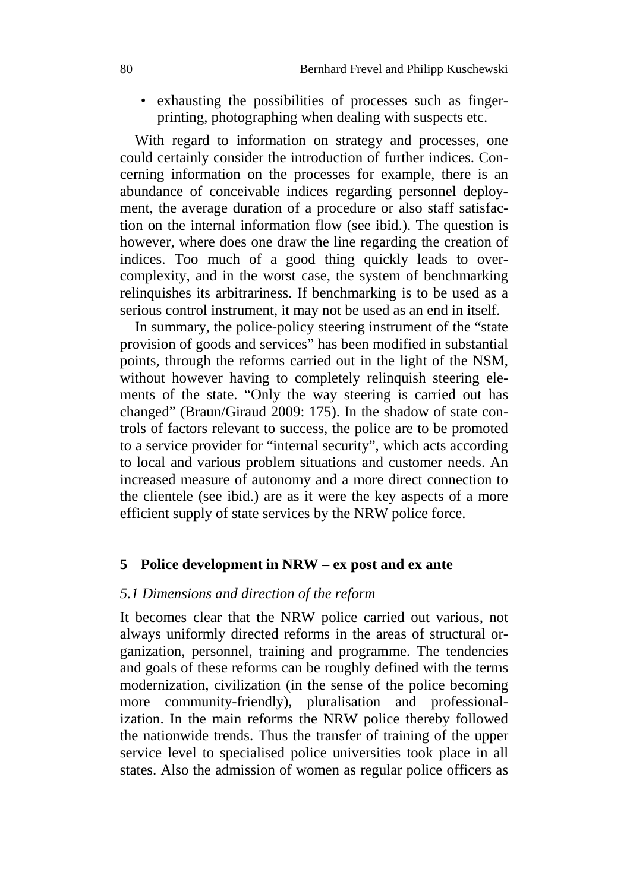• exhausting the possibilities of processes such as fingerprinting, photographing when dealing with suspects etc.

With regard to information on strategy and processes, one could certainly consider the introduction of further indices. Concerning information on the processes for example, there is an abundance of conceivable indices regarding personnel deployment, the average duration of a procedure or also staff satisfaction on the internal information flow (see ibid.). The question is however, where does one draw the line regarding the creation of indices. Too much of a good thing quickly leads to overcomplexity, and in the worst case, the system of benchmarking relinquishes its arbitrariness. If benchmarking is to be used as a serious control instrument, it may not be used as an end in itself.

In summary, the police-policy steering instrument of the "state provision of goods and services" has been modified in substantial points, through the reforms carried out in the light of the NSM, without however having to completely relinquish steering elements of the state. "Only the way steering is carried out has changed" (Braun/Giraud 2009: 175). In the shadow of state controls of factors relevant to success, the police are to be promoted to a service provider for "internal security", which acts according to local and various problem situations and customer needs. An increased measure of autonomy and a more direct connection to the clientele (see ibid.) are as it were the key aspects of a more efficient supply of state services by the NRW police force.

#### **5 Police development in NRW – ex post and ex ante**

#### *5.1 Dimensions and direction of the reform*

It becomes clear that the NRW police carried out various, not always uniformly directed reforms in the areas of structural organization, personnel, training and programme. The tendencies and goals of these reforms can be roughly defined with the terms modernization, civilization (in the sense of the police becoming more community-friendly), pluralisation and professionalization. In the main reforms the NRW police thereby followed the nationwide trends. Thus the transfer of training of the upper service level to specialised police universities took place in all states. Also the admission of women as regular police officers as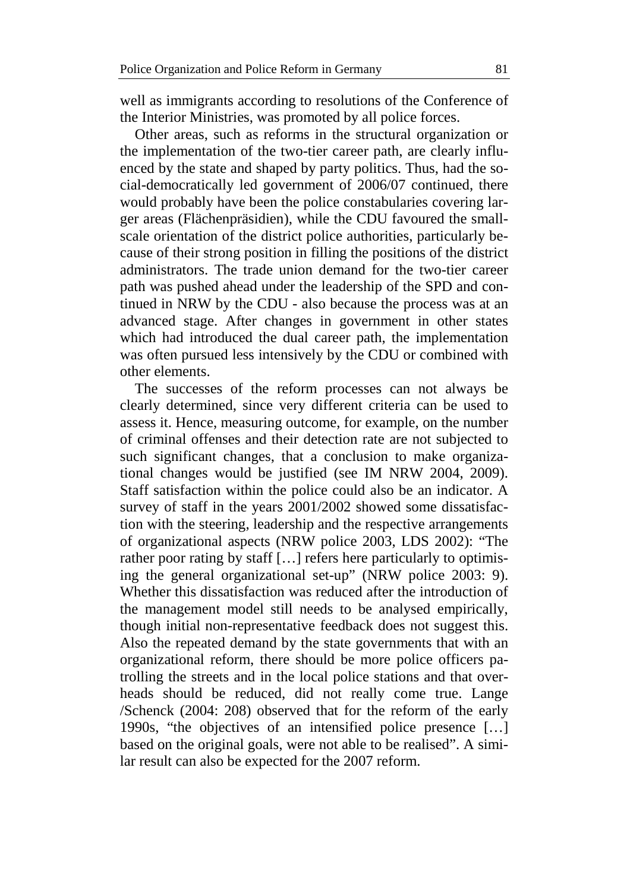well as immigrants according to resolutions of the Conference of the Interior Ministries, was promoted by all police forces.

Other areas, such as reforms in the structural organization or the implementation of the two-tier career path, are clearly influenced by the state and shaped by party politics. Thus, had the social-democratically led government of 2006/07 continued, there would probably have been the police constabularies covering larger areas (Flächenpräsidien), while the CDU favoured the smallscale orientation of the district police authorities, particularly because of their strong position in filling the positions of the district administrators. The trade union demand for the two-tier career path was pushed ahead under the leadership of the SPD and continued in NRW by the CDU - also because the process was at an advanced stage. After changes in government in other states which had introduced the dual career path, the implementation was often pursued less intensively by the CDU or combined with other elements.

The successes of the reform processes can not always be clearly determined, since very different criteria can be used to assess it. Hence, measuring outcome, for example, on the number of criminal offenses and their detection rate are not subjected to such significant changes, that a conclusion to make organizational changes would be justified (see IM NRW 2004, 2009). Staff satisfaction within the police could also be an indicator. A survey of staff in the years 2001/2002 showed some dissatisfaction with the steering, leadership and the respective arrangements of organizational aspects (NRW police 2003, LDS 2002): "The rather poor rating by staff […] refers here particularly to optimising the general organizational set-up" (NRW police 2003: 9). Whether this dissatisfaction was reduced after the introduction of the management model still needs to be analysed empirically, though initial non-representative feedback does not suggest this. Also the repeated demand by the state governments that with an organizational reform, there should be more police officers patrolling the streets and in the local police stations and that overheads should be reduced, did not really come true. Lange /Schenck (2004: 208) observed that for the reform of the early 1990s, "the objectives of an intensified police presence […] based on the original goals, were not able to be realised". A similar result can also be expected for the 2007 reform.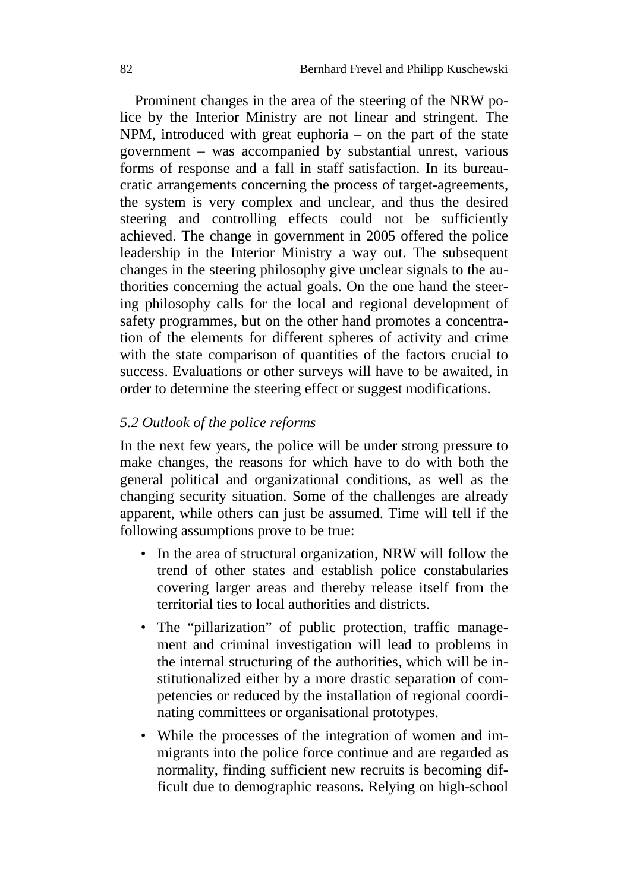Prominent changes in the area of the steering of the NRW police by the Interior Ministry are not linear and stringent. The NPM, introduced with great euphoria – on the part of the state government – was accompanied by substantial unrest, various forms of response and a fall in staff satisfaction. In its bureaucratic arrangements concerning the process of target-agreements, the system is very complex and unclear, and thus the desired steering and controlling effects could not be sufficiently achieved. The change in government in 2005 offered the police leadership in the Interior Ministry a way out. The subsequent changes in the steering philosophy give unclear signals to the authorities concerning the actual goals. On the one hand the steering philosophy calls for the local and regional development of safety programmes, but on the other hand promotes a concentration of the elements for different spheres of activity and crime with the state comparison of quantities of the factors crucial to success. Evaluations or other surveys will have to be awaited, in order to determine the steering effect or suggest modifications.

#### *5.2 Outlook of the police reforms*

In the next few years, the police will be under strong pressure to make changes, the reasons for which have to do with both the general political and organizational conditions, as well as the changing security situation. Some of the challenges are already apparent, while others can just be assumed. Time will tell if the following assumptions prove to be true:

- In the area of structural organization, NRW will follow the trend of other states and establish police constabularies covering larger areas and thereby release itself from the territorial ties to local authorities and districts.
- The "pillarization" of public protection, traffic management and criminal investigation will lead to problems in the internal structuring of the authorities, which will be institutionalized either by a more drastic separation of competencies or reduced by the installation of regional coordinating committees or organisational prototypes.
- While the processes of the integration of women and immigrants into the police force continue and are regarded as normality, finding sufficient new recruits is becoming difficult due to demographic reasons. Relying on high-school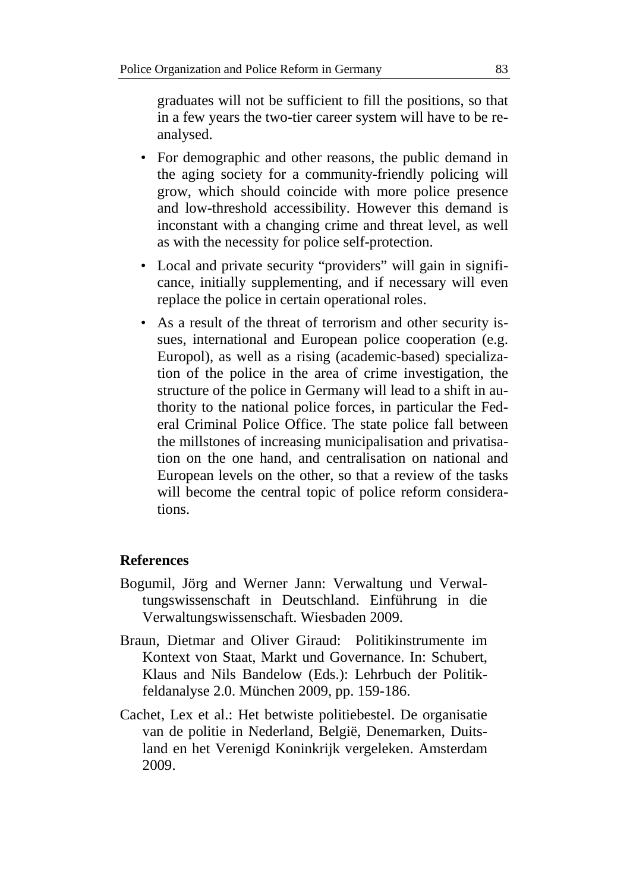graduates will not be sufficient to fill the positions, so that in a few years the two-tier career system will have to be reanalysed.

- For demographic and other reasons, the public demand in the aging society for a community-friendly policing will grow, which should coincide with more police presence and low-threshold accessibility. However this demand is inconstant with a changing crime and threat level, as well as with the necessity for police self-protection.
- Local and private security "providers" will gain in significance, initially supplementing, and if necessary will even replace the police in certain operational roles.
- As a result of the threat of terrorism and other security issues, international and European police cooperation (e.g. Europol), as well as a rising (academic-based) specialization of the police in the area of crime investigation, the structure of the police in Germany will lead to a shift in authority to the national police forces, in particular the Federal Criminal Police Office. The state police fall between the millstones of increasing municipalisation and privatisation on the one hand, and centralisation on national and European levels on the other, so that a review of the tasks will become the central topic of police reform considerations.

## **References**

- Bogumil, Jörg and Werner Jann: Verwaltung und Verwaltungswissenschaft in Deutschland. Einführung in die Verwaltungswissenschaft. Wiesbaden 2009.
- Braun, Dietmar and Oliver Giraud: Politikinstrumente im Kontext von Staat, Markt und Governance. In: Schubert, Klaus and Nils Bandelow (Eds.): Lehrbuch der Politikfeldanalyse 2.0. München 2009, pp. 159-186.
- Cachet, Lex et al.: Het betwiste politiebestel. De organisatie van de politie in Nederland, België, Denemarken, Duitsland en het Verenigd Koninkrijk vergeleken. Amsterdam 2009.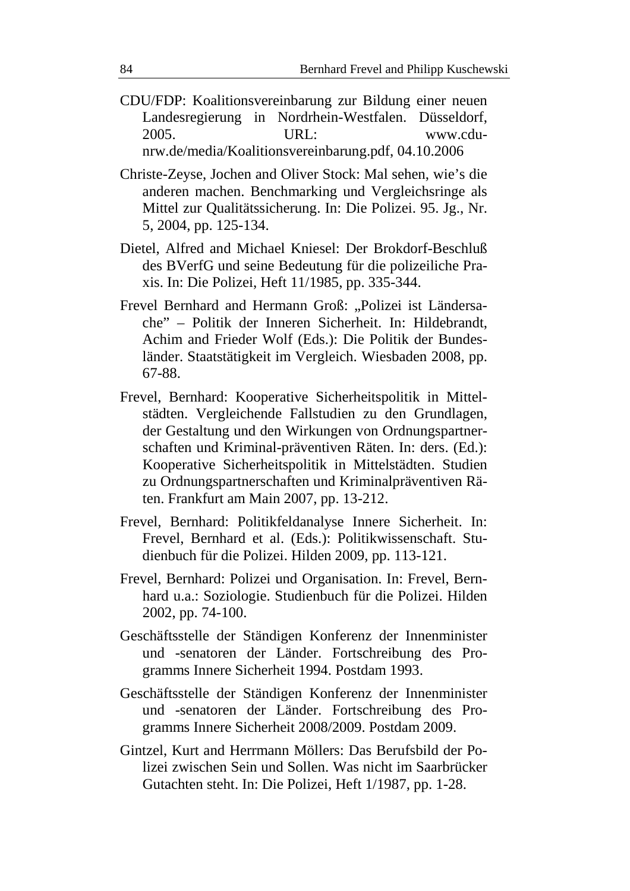- CDU/FDP: Koalitionsvereinbarung zur Bildung einer neuen Landesregierung in Nordrhein-Westfalen. Düsseldorf, 2005. URL: www.cdunrw.de/media/Koalitionsvereinbarung.pdf, 04.10.2006
- Christe-Zeyse, Jochen and Oliver Stock: Mal sehen, wie's die anderen machen. Benchmarking und Vergleichsringe als Mittel zur Qualitätssicherung. In: Die Polizei. 95. Jg., Nr. 5, 2004, pp. 125-134.
- Dietel, Alfred and Michael Kniesel: Der Brokdorf-Beschluß des BVerfG und seine Bedeutung für die polizeiliche Praxis. In: Die Polizei, Heft 11/1985, pp. 335-344.
- Frevel Bernhard and Hermann Groß: "Polizei ist Ländersache" – Politik der Inneren Sicherheit. In: Hildebrandt, Achim and Frieder Wolf (Eds.): Die Politik der Bundesländer. Staatstätigkeit im Vergleich. Wiesbaden 2008, pp. 67-88.
- Frevel, Bernhard: Kooperative Sicherheitspolitik in Mittelstädten. Vergleichende Fallstudien zu den Grundlagen, der Gestaltung und den Wirkungen von Ordnungspartnerschaften und Kriminal-präventiven Räten. In: ders. (Ed.): Kooperative Sicherheitspolitik in Mittelstädten. Studien zu Ordnungspartnerschaften und Kriminalpräventiven Räten. Frankfurt am Main 2007, pp. 13-212.
- Frevel, Bernhard: Politikfeldanalyse Innere Sicherheit. In: Frevel, Bernhard et al. (Eds.): Politikwissenschaft. Studienbuch für die Polizei. Hilden 2009, pp. 113-121.
- Frevel, Bernhard: Polizei und Organisation. In: Frevel, Bernhard u.a.: Soziologie. Studienbuch für die Polizei. Hilden 2002, pp. 74-100.
- Geschäftsstelle der Ständigen Konferenz der Innenminister und -senatoren der Länder. Fortschreibung des Programms Innere Sicherheit 1994. Postdam 1993.
- Geschäftsstelle der Ständigen Konferenz der Innenminister und -senatoren der Länder. Fortschreibung des Programms Innere Sicherheit 2008/2009. Postdam 2009.
- Gintzel, Kurt and Herrmann Möllers: Das Berufsbild der Polizei zwischen Sein und Sollen. Was nicht im Saarbrücker Gutachten steht. In: Die Polizei, Heft 1/1987, pp. 1-28.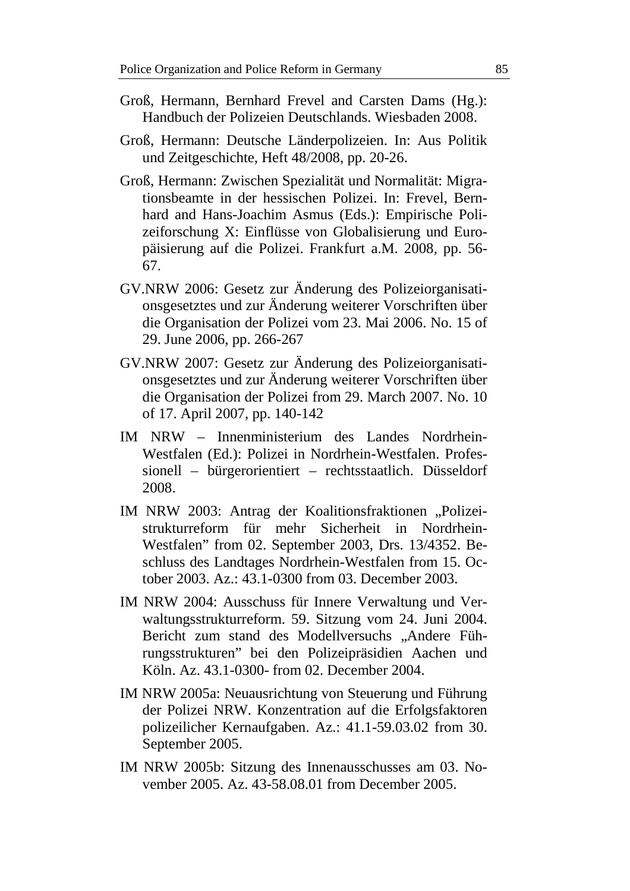- Groß, Hermann, Bernhard Frevel and Carsten Dams (Hg.): Handbuch der Polizeien Deutschlands. Wiesbaden 2008.
- Groß, Hermann: Deutsche Länderpolizeien. In: Aus Politik und Zeitgeschichte, Heft 48/2008, pp. 20-26.
- Groß, Hermann: Zwischen Spezialität und Normalität: Migrationsbeamte in der hessischen Polizei. In: Frevel, Bernhard and Hans-Joachim Asmus (Eds.): Empirische Polizeiforschung X: Einflüsse von Globalisierung und Europäisierung auf die Polizei. Frankfurt a.M. 2008, pp. 56- 67.
- GV.NRW 2006: Gesetz zur Änderung des Polizeiorganisationsgesetztes und zur Änderung weiterer Vorschriften über die Organisation der Polizei vom 23. Mai 2006. No. 15 of 29. June 2006, pp. 266-267
- GV.NRW 2007: Gesetz zur Änderung des Polizeiorganisationsgesetztes und zur Änderung weiterer Vorschriften über die Organisation der Polizei from 29. March 2007. No. 10 of 17. April 2007, pp. 140-142
- IM NRW Innenministerium des Landes Nordrhein-Westfalen (Ed.): Polizei in Nordrhein-Westfalen. Professionell – bürgerorientiert – rechtsstaatlich. Düsseldorf 2008.
- IM NRW 2003: Antrag der Koalitionsfraktionen "Polizeistrukturreform für mehr Sicherheit in Nordrhein-Westfalen" from 02. September 2003, Drs. 13/4352. Beschluss des Landtages Nordrhein-Westfalen from 15. October 2003. Az.: 43.1-0300 from 03. December 2003.
- IM NRW 2004: Ausschuss für Innere Verwaltung und Verwaltungsstrukturreform. 59. Sitzung vom 24. Juni 2004. Bericht zum stand des Modellversuchs "Andere Führungsstrukturen" bei den Polizeipräsidien Aachen und Köln. Az. 43.1-0300- from 02. December 2004.
- IM NRW 2005a: Neuausrichtung von Steuerung und Führung der Polizei NRW. Konzentration auf die Erfolgsfaktoren polizeilicher Kernaufgaben. Az.: 41.1-59.03.02 from 30. September 2005.
- IM NRW 2005b: Sitzung des Innenausschusses am 03. November 2005. Az. 43-58.08.01 from December 2005.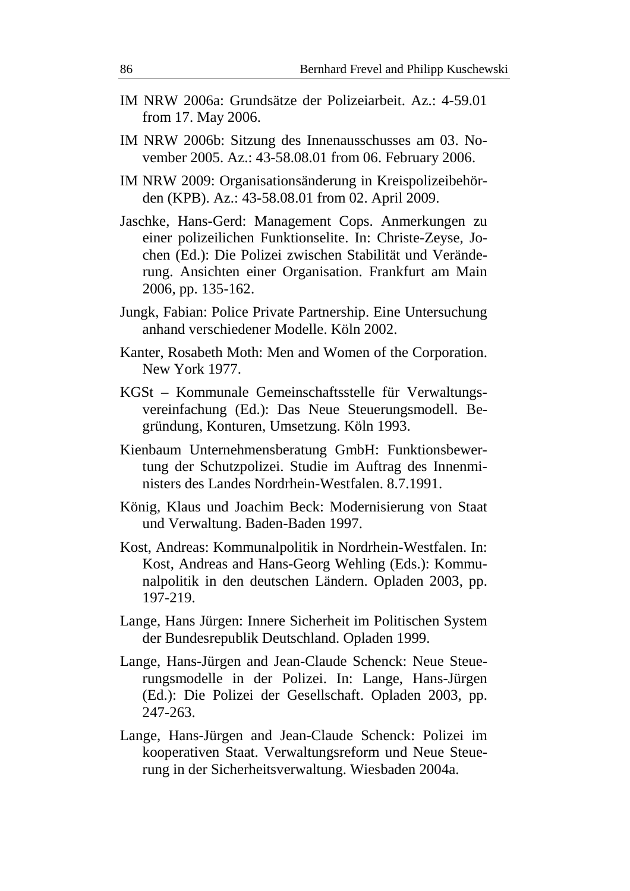- IM NRW 2006a: Grundsätze der Polizeiarbeit. Az.: 4-59.01 from 17. May 2006.
- IM NRW 2006b: Sitzung des Innenausschusses am 03. November 2005. Az.: 43-58.08.01 from 06. February 2006.
- IM NRW 2009: Organisationsänderung in Kreispolizeibehörden (KPB). Az.: 43-58.08.01 from 02. April 2009.
- Jaschke, Hans-Gerd: Management Cops. Anmerkungen zu einer polizeilichen Funktionselite. In: Christe-Zeyse, Jochen (Ed.): Die Polizei zwischen Stabilität und Veränderung. Ansichten einer Organisation. Frankfurt am Main 2006, pp. 135-162.
- Jungk, Fabian: Police Private Partnership. Eine Untersuchung anhand verschiedener Modelle. Köln 2002.
- Kanter, Rosabeth Moth: Men and Women of the Corporation. New York 1977.
- KGSt Kommunale Gemeinschaftsstelle für Verwaltungsvereinfachung (Ed.): Das Neue Steuerungsmodell. Begründung, Konturen, Umsetzung. Köln 1993.
- Kienbaum Unternehmensberatung GmbH: Funktionsbewertung der Schutzpolizei. Studie im Auftrag des Innenministers des Landes Nordrhein-Westfalen. 8.7.1991.
- König, Klaus und Joachim Beck: Modernisierung von Staat und Verwaltung. Baden-Baden 1997.
- Kost, Andreas: Kommunalpolitik in Nordrhein-Westfalen. In: Kost, Andreas and Hans-Georg Wehling (Eds.): Kommunalpolitik in den deutschen Ländern. Opladen 2003, pp. 197-219.
- Lange, Hans Jürgen: Innere Sicherheit im Politischen System der Bundesrepublik Deutschland. Opladen 1999.
- Lange, Hans-Jürgen and Jean-Claude Schenck: Neue Steuerungsmodelle in der Polizei. In: Lange, Hans-Jürgen (Ed.): Die Polizei der Gesellschaft. Opladen 2003, pp. 247-263.
- Lange, Hans-Jürgen and Jean-Claude Schenck: Polizei im kooperativen Staat. Verwaltungsreform und Neue Steuerung in der Sicherheitsverwaltung. Wiesbaden 2004a.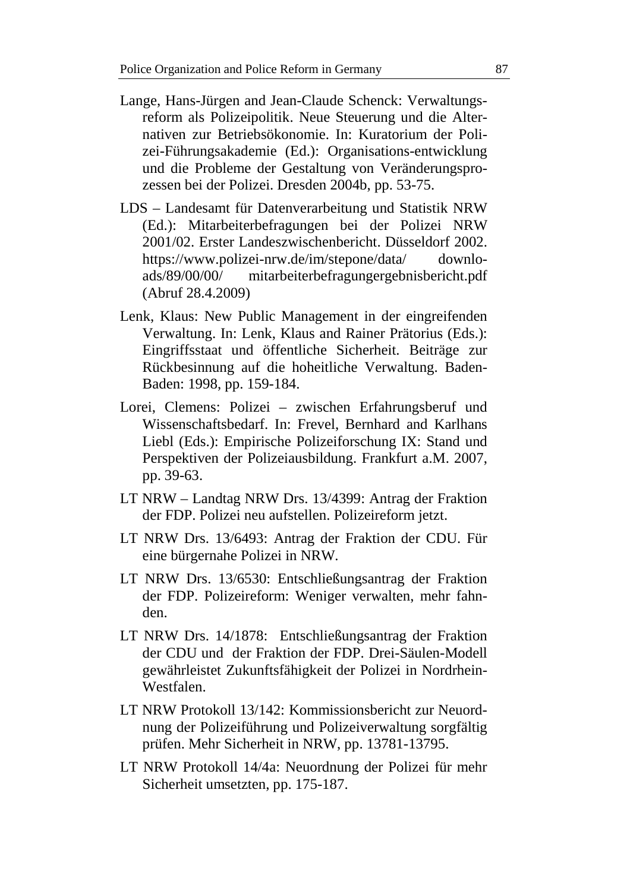- Lange, Hans-Jürgen and Jean-Claude Schenck: Verwaltungsreform als Polizeipolitik. Neue Steuerung und die Alternativen zur Betriebsökonomie. In: Kuratorium der Polizei-Führungsakademie (Ed.): Organisations-entwicklung und die Probleme der Gestaltung von Veränderungsprozessen bei der Polizei. Dresden 2004b, pp. 53-75.
- LDS Landesamt für Datenverarbeitung und Statistik NRW (Ed.): Mitarbeiterbefragungen bei der Polizei NRW 2001/02. Erster Landeszwischenbericht. Düsseldorf 2002. https://www.polizei-nrw.de/im/stepone/data/ downloads/89/00/00/ mitarbeiterbefragungergebnisbericht.pdf (Abruf 28.4.2009)
- Lenk, Klaus: New Public Management in der eingreifenden Verwaltung. In: Lenk, Klaus and Rainer Prätorius (Eds.): Eingriffsstaat und öffentliche Sicherheit. Beiträge zur Rückbesinnung auf die hoheitliche Verwaltung. Baden-Baden: 1998, pp. 159-184.
- Lorei, Clemens: Polizei zwischen Erfahrungsberuf und Wissenschaftsbedarf. In: Frevel, Bernhard and Karlhans Liebl (Eds.): Empirische Polizeiforschung IX: Stand und Perspektiven der Polizeiausbildung. Frankfurt a.M. 2007, pp. 39-63.
- LT NRW Landtag NRW Drs. 13/4399: Antrag der Fraktion der FDP. Polizei neu aufstellen. Polizeireform jetzt.
- LT NRW Drs. 13/6493: Antrag der Fraktion der CDU. Für eine bürgernahe Polizei in NRW.
- LT NRW Drs. 13/6530: Entschließungsantrag der Fraktion der FDP. Polizeireform: Weniger verwalten, mehr fahnden.
- LT NRW Drs. 14/1878: Entschließungsantrag der Fraktion der CDU und der Fraktion der FDP. Drei-Säulen-Modell gewährleistet Zukunftsfähigkeit der Polizei in Nordrhein-Westfalen.
- LT NRW Protokoll 13/142: Kommissionsbericht zur Neuordnung der Polizeiführung und Polizeiverwaltung sorgfältig prüfen. Mehr Sicherheit in NRW, pp. 13781-13795.
- LT NRW Protokoll 14/4a: Neuordnung der Polizei für mehr Sicherheit umsetzten, pp. 175-187.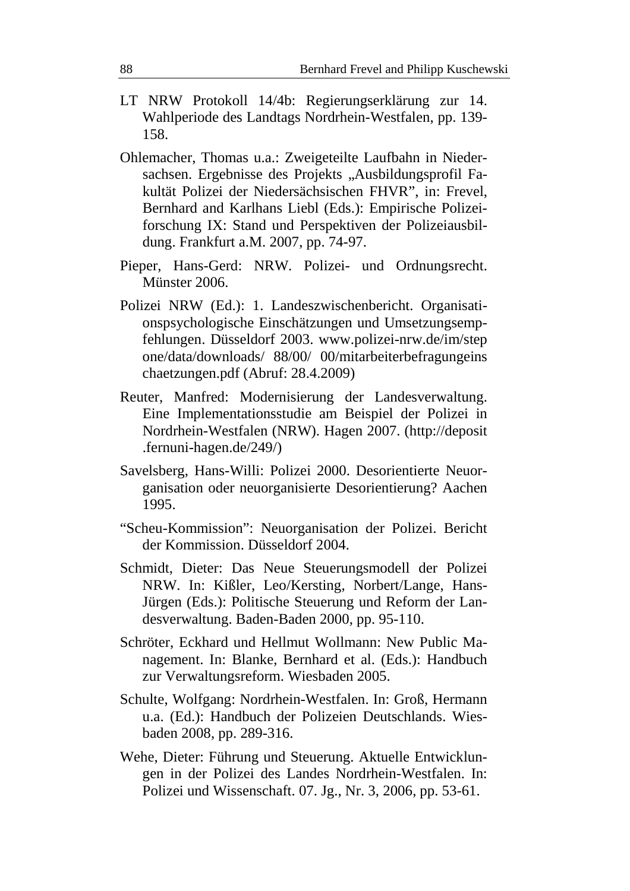- LT NRW Protokoll 14/4b: Regierungserklärung zur 14. Wahlperiode des Landtags Nordrhein-Westfalen, pp. 139- 158.
- Ohlemacher, Thomas u.a.: Zweigeteilte Laufbahn in Niedersachsen. Ergebnisse des Projekts "Ausbildungsprofil Fakultät Polizei der Niedersächsischen FHVR", in: Frevel, Bernhard and Karlhans Liebl (Eds.): Empirische Polizeiforschung IX: Stand und Perspektiven der Polizeiausbildung. Frankfurt a.M. 2007, pp. 74-97.
- Pieper, Hans-Gerd: NRW. Polizei- und Ordnungsrecht. Münster 2006.
- Polizei NRW (Ed.): 1. Landeszwischenbericht. Organisationspsychologische Einschätzungen und Umsetzungsempfehlungen. Düsseldorf 2003. www.polizei-nrw.de/im/step one/data/downloads/ 88/00/ 00/mitarbeiterbefragungeins chaetzungen.pdf (Abruf: 28.4.2009)
- Reuter, Manfred: Modernisierung der Landesverwaltung. Eine Implementationsstudie am Beispiel der Polizei in Nordrhein-Westfalen (NRW). Hagen 2007. (http://deposit .fernuni-hagen.de/249/)
- Savelsberg, Hans-Willi: Polizei 2000. Desorientierte Neuorganisation oder neuorganisierte Desorientierung? Aachen 1995.
- "Scheu-Kommission": Neuorganisation der Polizei. Bericht der Kommission. Düsseldorf 2004.
- Schmidt, Dieter: Das Neue Steuerungsmodell der Polizei NRW. In: Kißler, Leo/Kersting, Norbert/Lange, Hans-Jürgen (Eds.): Politische Steuerung und Reform der Landesverwaltung. Baden-Baden 2000, pp. 95-110.
- Schröter, Eckhard und Hellmut Wollmann: New Public Management. In: Blanke, Bernhard et al. (Eds.): Handbuch zur Verwaltungsreform. Wiesbaden 2005.
- Schulte, Wolfgang: Nordrhein-Westfalen. In: Groß, Hermann u.a. (Ed.): Handbuch der Polizeien Deutschlands. Wiesbaden 2008, pp. 289-316.
- Wehe, Dieter: Führung und Steuerung. Aktuelle Entwicklungen in der Polizei des Landes Nordrhein-Westfalen. In: Polizei und Wissenschaft. 07. Jg., Nr. 3, 2006, pp. 53-61.